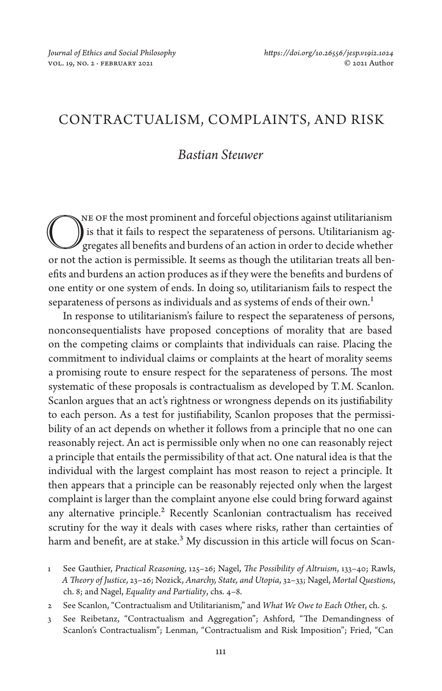# CONTRACTUALISM, COMPLAINTS, AND RISK

## *Bastian Steuwer*

ne of the most prominent and forceful objections against utilitarianism is that it fails to respect the separateness of persons. Utilitarianism aggregates all benefits and burdens of an action in order to decide whether The or the most prominent and forceful objections against utilitarianism<br>is that it fails to respect the separateness of persons. Utilitarianism ag-<br>gregates all benefits and burdens of an action in order to decide whether efits and burdens an action produces as if they were the benefits and burdens of one entity or one system of ends. In doing so, utilitarianism fails to respect the separateness of persons as individuals and as systems of ends of their own.<sup>1</sup>

In response to utilitarianism's failure to respect the separateness of persons, nonconsequentialists have proposed conceptions of morality that are based on the competing claims or complaints that individuals can raise. Placing the commitment to individual claims or complaints at the heart of morality seems a promising route to ensure respect for the separateness of persons. The most systematic of these proposals is contractualism as developed by T.M. Scanlon. Scanlon argues that an act's rightness or wrongness depends on its justifiability to each person. As a test for justifiability, Scanlon proposes that the permissibility of an act depends on whether it follows from a principle that no one can reasonably reject. An act is permissible only when no one can reasonably reject a principle that entails the permissibility of that act. One natural idea is that the individual with the largest complaint has most reason to reject a principle. It then appears that a principle can be reasonably rejected only when the largest complaint is larger than the complaint anyone else could bring forward against any alternative principle.<sup>2</sup> Recently Scanlonian contractualism has received scrutiny for the way it deals with cases where risks, rather than certainties of harm and benefit, are at stake.<sup>3</sup> My discussion in this article will focus on Scan-

- 2 See Scanlon, "Contractualism and Utilitarianism," and *What We Owe to Each Oth*er, ch. 5.
- 3 See Reibetanz, "Contractualism and Aggregation"; Ashford, "The Demandingness of Scanlon's Contractualism"; Lenman, "Contractualism and Risk Imposition"; Fried, "Can

<sup>1</sup> See Gauthier, *Practical Reasoning*, 125–26; Nagel, *The Possibility of Altruism*, 133–40; Rawls, *A Theory of Justice*, 23–26; Nozick, *Anarchy, State, and Utopia*, 32–33; Nagel, *Mortal Questions*, ch. 8; and Nagel, *Equality and Partiality*, chs. 4–8.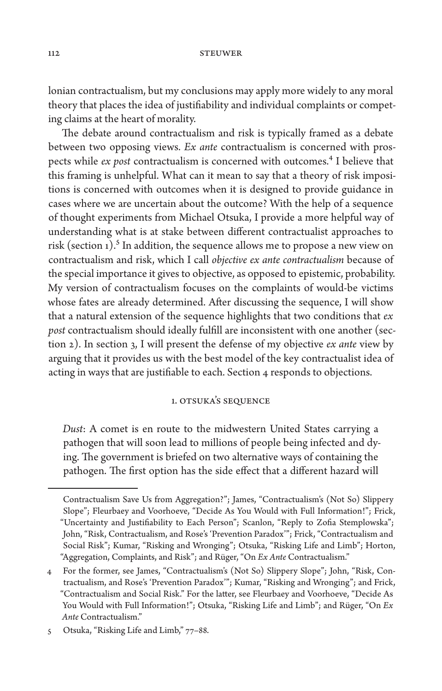lonian contractualism, but my conclusions may apply more widely to any moral theory that places the idea of justifiability and individual complaints or competing claims at the heart of morality.

The debate around contractualism and risk is typically framed as a debate between two opposing views. *Ex ante* contractualism is concerned with prospects while *ex post* contractualism is concerned with outcomes.4 I believe that this framing is unhelpful. What can it mean to say that a theory of risk impositions is concerned with outcomes when it is designed to provide guidance in cases where we are uncertain about the outcome? With the help of a sequence of thought experiments from Michael Otsuka, I provide a more helpful way of understanding what is at stake between different contractualist approaches to risk (section 1).<sup>5</sup> In addition, the sequence allows me to propose a new view on contractualism and risk, which I call *objective ex ante contractualism* because of the special importance it gives to objective, as opposed to epistemic, probability. My version of contractualism focuses on the complaints of would-be victims whose fates are already determined. After discussing the sequence, I will show that a natural extension of the sequence highlights that two conditions that *ex post* contractualism should ideally fulfill are inconsistent with one another (section 2). In section 3, I will present the defense of my objective *ex ante* view by arguing that it provides us with the best model of the key contractualist idea of acting in ways that are justifiable to each. Section 4 responds to objections.

## 1. Otsuka's Sequence

*Dust*: A comet is en route to the midwestern United States carrying a pathogen that will soon lead to millions of people being infected and dying. The government is briefed on two alternative ways of containing the pathogen. The first option has the side effect that a different hazard will

Contractualism Save Us from Aggregation?"; James, "Contractualism's (Not So) Slippery Slope"; Fleurbaey and Voorhoeve, "Decide As You Would with Full Information!"; Frick, "Uncertainty and Justifiability to Each Person"; Scanlon, "Reply to Zofia Stemplowska"; John, "Risk, Contractualism, and Rose's 'Prevention Paradox'"; Frick, "Contractualism and Social Risk"; Kumar, "Risking and Wronging"; Otsuka, "Risking Life and Limb"; Horton, "Aggregation, Complaints, and Risk"; and Rüger, "On *Ex Ante* Contractualism."

<sup>4</sup> For the former, see James, "Contractualism's (Not So) Slippery Slope"; John, "Risk, Contractualism, and Rose's 'Prevention Paradox'"; Kumar, "Risking and Wronging"; and Frick, "Contractualism and Social Risk." For the latter, see Fleurbaey and Voorhoeve, "Decide As You Would with Full Information!"; Otsuka, "Risking Life and Limb"; and Rüger, "On *Ex Ante* Contractualism."

<sup>5</sup> Otsuka, "Risking Life and Limb," 77–88.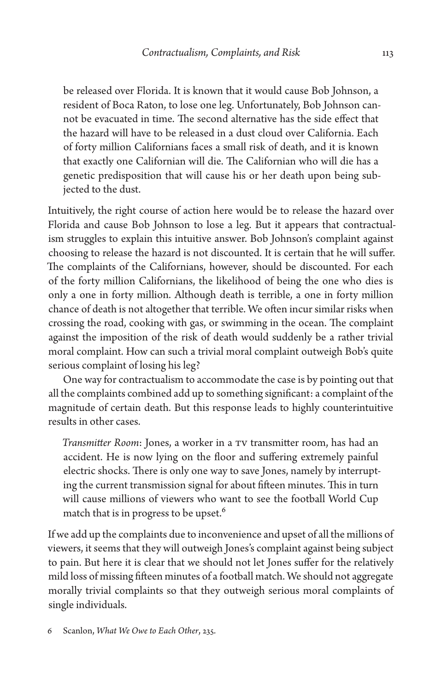be released over Florida. It is known that it would cause Bob Johnson, a resident of Boca Raton, to lose one leg. Unfortunately, Bob Johnson cannot be evacuated in time. The second alternative has the side effect that the hazard will have to be released in a dust cloud over California. Each of forty million Californians faces a small risk of death, and it is known that exactly one Californian will die. The Californian who will die has a genetic predisposition that will cause his or her death upon being subjected to the dust.

Intuitively, the right course of action here would be to release the hazard over Florida and cause Bob Johnson to lose a leg. But it appears that contractualism struggles to explain this intuitive answer. Bob Johnson's complaint against choosing to release the hazard is not discounted. It is certain that he will suffer. The complaints of the Californians, however, should be discounted. For each of the forty million Californians, the likelihood of being the one who dies is only a one in forty million. Although death is terrible, a one in forty million chance of death is not altogether that terrible. We often incur similar risks when crossing the road, cooking with gas, or swimming in the ocean. The complaint against the imposition of the risk of death would suddenly be a rather trivial moral complaint. How can such a trivial moral complaint outweigh Bob's quite serious complaint of losing his leg?

One way for contractualism to accommodate the case is by pointing out that all the complaints combined add up to something significant: a complaint of the magnitude of certain death. But this response leads to highly counterintuitive results in other cases.

*Transmitter Room*: Jones, a worker in a TV transmitter room, has had an accident. He is now lying on the floor and suffering extremely painful electric shocks. There is only one way to save Jones, namely by interrupting the current transmission signal for about fifteen minutes. This in turn will cause millions of viewers who want to see the football World Cup match that is in progress to be upset.<sup>6</sup>

If we add up the complaints due to inconvenience and upset of all the millions of viewers, it seems that they will outweigh Jones's complaint against being subject to pain. But here it is clear that we should not let Jones suffer for the relatively mild loss of missing fifteen minutes of a football match. We should not aggregate morally trivial complaints so that they outweigh serious moral complaints of single individuals.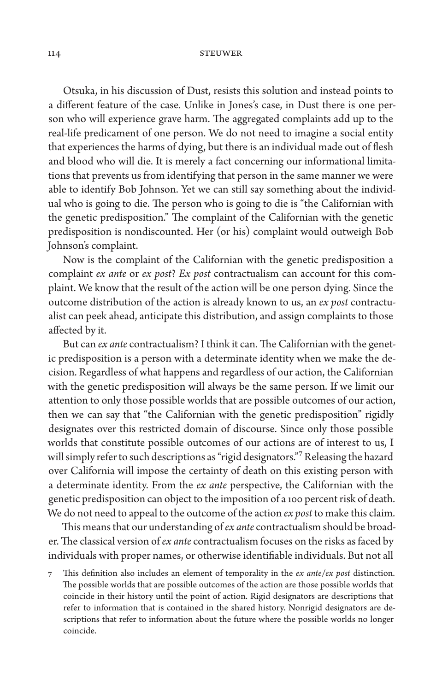Otsuka, in his discussion of Dust, resists this solution and instead points to a different feature of the case. Unlike in Jones's case, in Dust there is one person who will experience grave harm. The aggregated complaints add up to the real-life predicament of one person. We do not need to imagine a social entity that experiences the harms of dying, but there is an individual made out of flesh and blood who will die. It is merely a fact concerning our informational limitations that prevents us from identifying that person in the same manner we were able to identify Bob Johnson. Yet we can still say something about the individual who is going to die. The person who is going to die is "the Californian with the genetic predisposition." The complaint of the Californian with the genetic predisposition is nondiscounted. Her (or his) complaint would outweigh Bob Johnson's complaint.

Now is the complaint of the Californian with the genetic predisposition a complaint *ex ante* or *ex post*? *Ex post* contractualism can account for this complaint. We know that the result of the action will be one person dying. Since the outcome distribution of the action is already known to us, an *ex post* contractualist can peek ahead, anticipate this distribution, and assign complaints to those affected by it.

But can *ex ante* contractualism? I think it can. The Californian with the genetic predisposition is a person with a determinate identity when we make the decision. Regardless of what happens and regardless of our action, the Californian with the genetic predisposition will always be the same person. If we limit our attention to only those possible worlds that are possible outcomes of our action, then we can say that "the Californian with the genetic predisposition" rigidly designates over this restricted domain of discourse. Since only those possible worlds that constitute possible outcomes of our actions are of interest to us, I will simply refer to such descriptions as "rigid designators."7 Releasing the hazard over California will impose the certainty of death on this existing person with a determinate identity. From the *ex ante* perspective, the Californian with the genetic predisposition can object to the imposition of a 100 percent risk of death. We do not need to appeal to the outcome of the action *ex post* to make this claim.

This means that our understanding of *ex ante* contractualism should be broader. The classical version of *ex ante* contractualism focuses on the risks as faced by individuals with proper names, or otherwise identifiable individuals. But not all

<sup>7</sup> This definition also includes an element of temporality in the *ex ante*/*ex post* distinction. The possible worlds that are possible outcomes of the action are those possible worlds that coincide in their history until the point of action. Rigid designators are descriptions that refer to information that is contained in the shared history. Nonrigid designators are descriptions that refer to information about the future where the possible worlds no longer coincide.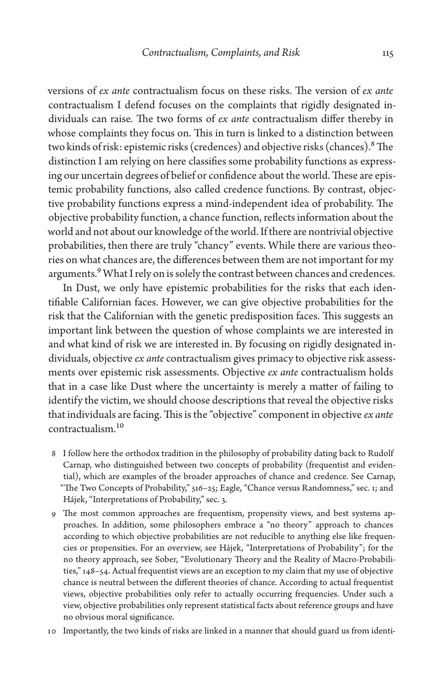versions of *ex ante* contractualism focus on these risks. The version of *ex ante* contractualism I defend focuses on the complaints that rigidly designated individuals can raise. The two forms of *ex ante* contractualism differ thereby in whose complaints they focus on. This in turn is linked to a distinction between two kinds of risk: epistemic risks (credences) and objective risks (chances).8 The distinction I am relying on here classifies some probability functions as expressing our uncertain degrees of belief or confidence about the world. These are epistemic probability functions, also called credence functions. By contrast, objective probability functions express a mind-independent idea of probability. The objective probability function, a chance function, reflects information about the world and not about our knowledge of the world. If there are nontrivial objective probabilities, then there are truly "chancy" events. While there are various theories on what chances are, the differences between them are not important for my arguments.<sup>9</sup> What I rely on is solely the contrast between chances and credences.

In Dust, we only have epistemic probabilities for the risks that each identifiable Californian faces. However, we can give objective probabilities for the risk that the Californian with the genetic predisposition faces. This suggests an important link between the question of whose complaints we are interested in and what kind of risk we are interested in. By focusing on rigidly designated individuals, objective *ex ante* contractualism gives primacy to objective risk assessments over epistemic risk assessments. Objective *ex ante* contractualism holds that in a case like Dust where the uncertainty is merely a matter of failing to identify the victim, we should choose descriptions that reveal the objective risks that individuals are facing. This is the "objective" component in objective *ex ante* contractualism.10

- 8 I follow here the orthodox tradition in the philosophy of probability dating back to Rudolf Carnap, who distinguished between two concepts of probability (frequentist and evidential), which are examples of the broader approaches of chance and credence. See Carnap, "The Two Concepts of Probability," 516–25; Eagle, "Chance versus Randomness," sec. 1; and Hájek, "Interpretations of Probability," sec. 3.
- 9 The most common approaches are frequentism, propensity views, and best systems approaches. In addition, some philosophers embrace a "no theory" approach to chances according to which objective probabilities are not reducible to anything else like frequencies or propensities. For an overview, see Hájek, "Interpretations of Probability"; for the no theory approach, see Sober, "Evolutionary Theory and the Reality of Macro-Probabilities," 148–54. Actual frequentist views are an exception to my claim that my use of objective chance is neutral between the different theories of chance. According to actual frequentist views, objective probabilities only refer to actually occurring frequencies. Under such a view, objective probabilities only represent statistical facts about reference groups and have no obvious moral significance.
- 10 Importantly, the two kinds of risks are linked in a manner that should guard us from identi-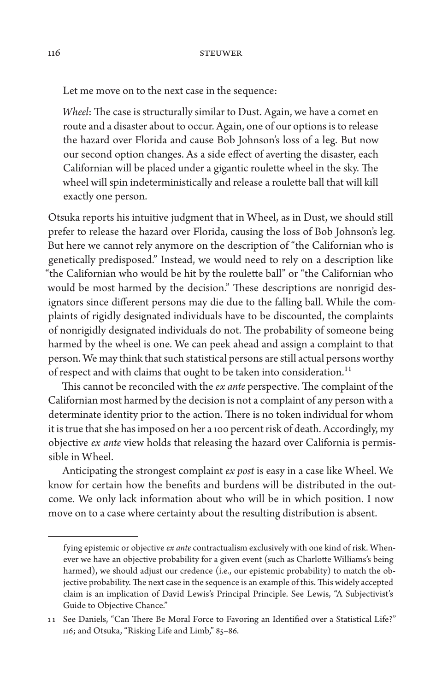Let me move on to the next case in the sequence:

*Wheel*: The case is structurally similar to Dust. Again, we have a comet en route and a disaster about to occur. Again, one of our options is to release the hazard over Florida and cause Bob Johnson's loss of a leg. But now our second option changes. As a side effect of averting the disaster, each Californian will be placed under a gigantic roulette wheel in the sky. The wheel will spin indeterministically and release a roulette ball that will kill exactly one person.

Otsuka reports his intuitive judgment that in Wheel, as in Dust, we should still prefer to release the hazard over Florida, causing the loss of Bob Johnson's leg. But here we cannot rely anymore on the description of "the Californian who is genetically predisposed." Instead, we would need to rely on a description like "the Californian who would be hit by the roulette ball" or "the Californian who would be most harmed by the decision." These descriptions are nonrigid designators since different persons may die due to the falling ball. While the complaints of rigidly designated individuals have to be discounted, the complaints of nonrigidly designated individuals do not. The probability of someone being harmed by the wheel is one. We can peek ahead and assign a complaint to that person. We may think that such statistical persons are still actual persons worthy of respect and with claims that ought to be taken into consideration.<sup>11</sup>

This cannot be reconciled with the *ex ante* perspective. The complaint of the Californian most harmed by the decision is not a complaint of any person with a determinate identity prior to the action. There is no token individual for whom it is true that she has imposed on her a 100 percent risk of death. Accordingly, my objective *ex ante* view holds that releasing the hazard over California is permissible in Wheel.

Anticipating the strongest complaint *ex post* is easy in a case like Wheel. We know for certain how the benefits and burdens will be distributed in the outcome. We only lack information about who will be in which position. I now move on to a case where certainty about the resulting distribution is absent.

fying epistemic or objective *ex ante* contractualism exclusively with one kind of risk. Whenever we have an objective probability for a given event (such as Charlotte Williams's being harmed), we should adjust our credence (i.e., our epistemic probability) to match the objective probability. The next case in the sequence is an example of this. This widely accepted claim is an implication of David Lewis's Principal Principle. See Lewis, "A Subjectivist's Guide to Objective Chance."

<sup>11</sup> See Daniels, "Can There Be Moral Force to Favoring an Identified over a Statistical Life?" 116; and Otsuka, "Risking Life and Limb," 85–86.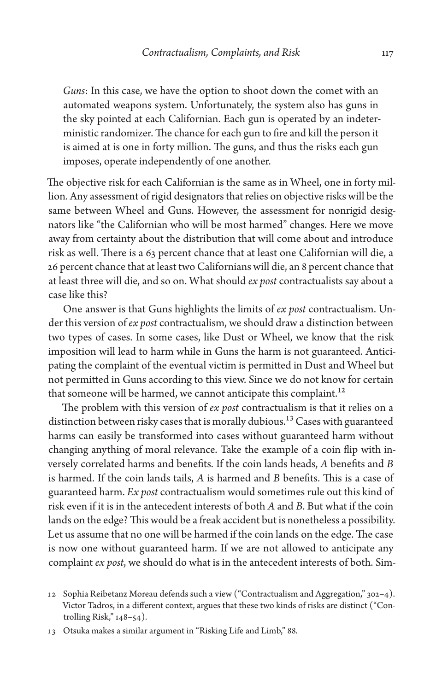*Guns*: In this case, we have the option to shoot down the comet with an automated weapons system. Unfortunately, the system also has guns in the sky pointed at each Californian. Each gun is operated by an indeterministic randomizer. The chance for each gun to fire and kill the person it is aimed at is one in forty million. The guns, and thus the risks each gun imposes, operate independently of one another.

The objective risk for each Californian is the same as in Wheel, one in forty million. Any assessment of rigid designators that relies on objective risks will be the same between Wheel and Guns. However, the assessment for nonrigid designators like "the Californian who will be most harmed" changes. Here we move away from certainty about the distribution that will come about and introduce risk as well. There is a 63 percent chance that at least one Californian will die, a 26 percent chance that at least two Californians will die, an 8 percent chance that at least three will die, and so on. What should *ex post* contractualists say about a case like this?

One answer is that Guns highlights the limits of *ex post* contractualism. Under this version of *ex post* contractualism, we should draw a distinction between two types of cases. In some cases, like Dust or Wheel, we know that the risk imposition will lead to harm while in Guns the harm is not guaranteed. Anticipating the complaint of the eventual victim is permitted in Dust and Wheel but not permitted in Guns according to this view. Since we do not know for certain that someone will be harmed, we cannot anticipate this complaint.<sup>12</sup>

The problem with this version of *ex post* contractualism is that it relies on a distinction between risky cases that is morally dubious.<sup>13</sup> Cases with guaranteed harms can easily be transformed into cases without guaranteed harm without changing anything of moral relevance. Take the example of a coin flip with inversely correlated harms and benefits. If the coin lands heads, *A* benefits and *B* is harmed. If the coin lands tails, *A* is harmed and *B* benefits. This is a case of guaranteed harm. *Ex post* contractualism would sometimes rule out this kind of risk even if it is in the antecedent interests of both *A* and *B*. But what if the coin lands on the edge? This would be a freak accident but is nonetheless a possibility. Let us assume that no one will be harmed if the coin lands on the edge. The case is now one without guaranteed harm. If we are not allowed to anticipate any complaint *ex post*, we should do what is in the antecedent interests of both. Sim-

<sup>12</sup> Sophia Reibetanz Moreau defends such a view ("Contractualism and Aggregation," 302–4). Victor Tadros, in a different context, argues that these two kinds of risks are distinct ("Controlling Risk," 148–54).

<sup>13</sup> Otsuka makes a similar argument in "Risking Life and Limb," 88.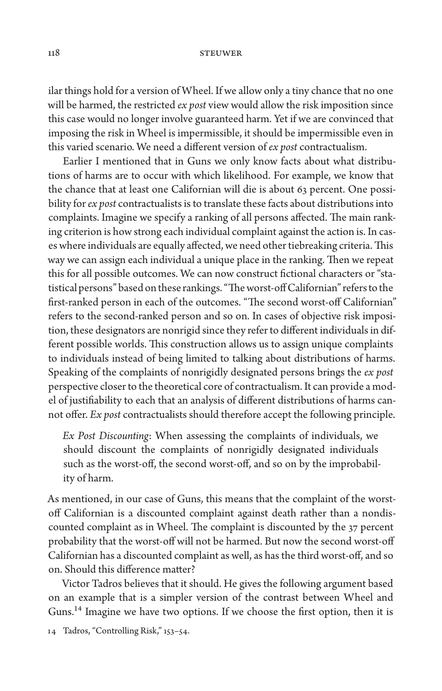ilar things hold for a version of Wheel. If we allow only a tiny chance that no one will be harmed, the restricted *ex post* view would allow the risk imposition since this case would no longer involve guaranteed harm. Yet if we are convinced that imposing the risk in Wheel is impermissible, it should be impermissible even in this varied scenario. We need a different version of *ex post* contractualism.

Earlier I mentioned that in Guns we only know facts about what distributions of harms are to occur with which likelihood. For example, we know that the chance that at least one Californian will die is about 63 percent. One possibility for *ex post* contractualists is to translate these facts about distributions into complaints. Imagine we specify a ranking of all persons affected. The main ranking criterion is how strong each individual complaint against the action is. In cases where individuals are equally affected, we need other tiebreaking criteria. This way we can assign each individual a unique place in the ranking. Then we repeat this for all possible outcomes. We can now construct fictional characters or "statistical persons" based on these rankings. "The worst-off Californian" refers to the first-ranked person in each of the outcomes. "The second worst-off Californian" refers to the second-ranked person and so on. In cases of objective risk imposition, these designators are nonrigid since they refer to different individuals in different possible worlds. This construction allows us to assign unique complaints to individuals instead of being limited to talking about distributions of harms. Speaking of the complaints of nonrigidly designated persons brings the *ex post* perspective closer to the theoretical core of contractualism. It can provide a model of justifiability to each that an analysis of different distributions of harms cannot offer. *Ex post* contractualists should therefore accept the following principle.

*Ex Post Discounting*: When assessing the complaints of individuals, we should discount the complaints of nonrigidly designated individuals such as the worst-off, the second worst-off, and so on by the improbability of harm.

As mentioned, in our case of Guns, this means that the complaint of the worstoff Californian is a discounted complaint against death rather than a nondiscounted complaint as in Wheel. The complaint is discounted by the 37 percent probability that the worst-off will not be harmed. But now the second worst-off Californian has a discounted complaint as well, as has the third worst-off, and so on. Should this difference matter?

Victor Tadros believes that it should. He gives the following argument based on an example that is a simpler version of the contrast between Wheel and Guns.14 Imagine we have two options. If we choose the first option, then it is

<sup>14</sup> Tadros, "Controlling Risk," 153–54.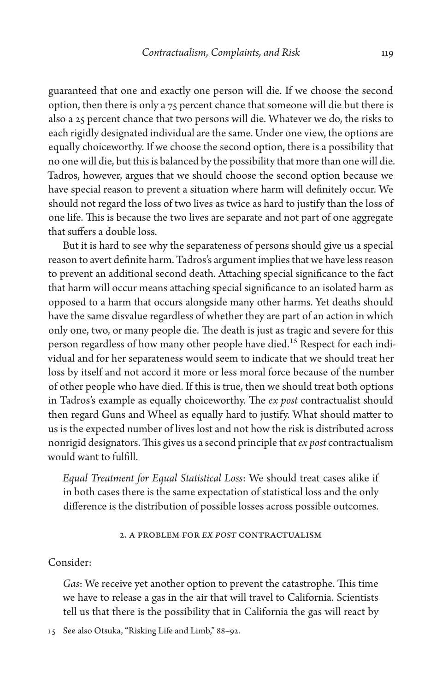guaranteed that one and exactly one person will die. If we choose the second option, then there is only a 75 percent chance that someone will die but there is also a 25 percent chance that two persons will die. Whatever we do, the risks to each rigidly designated individual are the same. Under one view, the options are equally choiceworthy. If we choose the second option, there is a possibility that no one will die, but this is balanced by the possibility that more than one will die. Tadros, however, argues that we should choose the second option because we have special reason to prevent a situation where harm will definitely occur. We should not regard the loss of two lives as twice as hard to justify than the loss of one life. This is because the two lives are separate and not part of one aggregate that suffers a double loss.

But it is hard to see why the separateness of persons should give us a special reason to avert definite harm. Tadros's argument implies that we have less reason to prevent an additional second death. Attaching special significance to the fact that harm will occur means attaching special significance to an isolated harm as opposed to a harm that occurs alongside many other harms. Yet deaths should have the same disvalue regardless of whether they are part of an action in which only one, two, or many people die. The death is just as tragic and severe for this person regardless of how many other people have died.<sup>15</sup> Respect for each individual and for her separateness would seem to indicate that we should treat her loss by itself and not accord it more or less moral force because of the number of other people who have died. If this is true, then we should treat both options in Tadros's example as equally choiceworthy. The *ex post* contractualist should then regard Guns and Wheel as equally hard to justify. What should matter to us is the expected number of lives lost and not how the risk is distributed across nonrigid designators. This gives us a second principle that *ex post* contractualism would want to fulfill.

*Equal Treatment for Equal Statistical Loss*: We should treat cases alike if in both cases there is the same expectation of statistical loss and the only difference is the distribution of possible losses across possible outcomes.

## 2. A Problem for *Ex Post* Contractualism

## Consider:

*Gas*: We receive yet another option to prevent the catastrophe. This time we have to release a gas in the air that will travel to California. Scientists tell us that there is the possibility that in California the gas will react by

<sup>15</sup> See also Otsuka, "Risking Life and Limb," 88–92.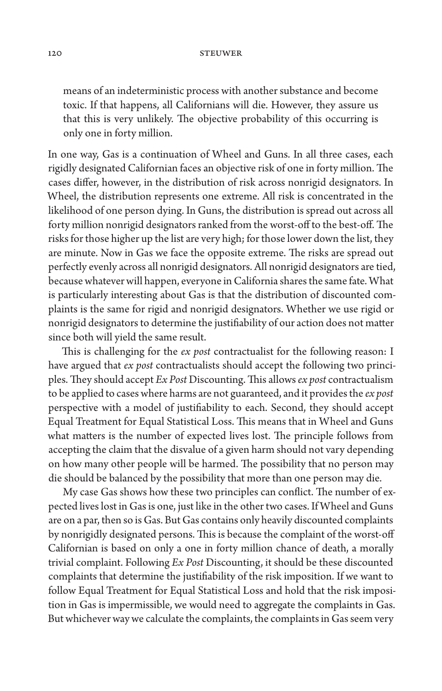means of an indeterministic process with another substance and become toxic. If that happens, all Californians will die. However, they assure us that this is very unlikely. The objective probability of this occurring is only one in forty million.

In one way, Gas is a continuation of Wheel and Guns. In all three cases, each rigidly designated Californian faces an objective risk of one in forty million. The cases differ, however, in the distribution of risk across nonrigid designators. In Wheel, the distribution represents one extreme. All risk is concentrated in the likelihood of one person dying. In Guns, the distribution is spread out across all forty million nonrigid designators ranked from the worst-off to the best-off. The risks for those higher up the list are very high; for those lower down the list, they are minute. Now in Gas we face the opposite extreme. The risks are spread out perfectly evenly across all nonrigid designators. All nonrigid designators are tied, because whatever will happen, everyone in California shares the same fate. What is particularly interesting about Gas is that the distribution of discounted complaints is the same for rigid and nonrigid designators. Whether we use rigid or nonrigid designators to determine the justifiability of our action does not matter since both will yield the same result.

This is challenging for the *ex post* contractualist for the following reason: I have argued that *ex post* contractualists should accept the following two principles. They should accept *Ex Post* Discounting. This allows *ex post* contractualism to be applied to cases where harms are not guaranteed, and it provides the *ex post* perspective with a model of justifiability to each. Second, they should accept Equal Treatment for Equal Statistical Loss. This means that in Wheel and Guns what matters is the number of expected lives lost. The principle follows from accepting the claim that the disvalue of a given harm should not vary depending on how many other people will be harmed. The possibility that no person may die should be balanced by the possibility that more than one person may die.

My case Gas shows how these two principles can conflict. The number of expected lives lost in Gas is one, just like in the other two cases. If Wheel and Guns are on a par, then so is Gas. But Gas contains only heavily discounted complaints by nonrigidly designated persons. This is because the complaint of the worst-off Californian is based on only a one in forty million chance of death, a morally trivial complaint. Following *Ex Post* Discounting, it should be these discounted complaints that determine the justifiability of the risk imposition. If we want to follow Equal Treatment for Equal Statistical Loss and hold that the risk imposition in Gas is impermissible, we would need to aggregate the complaints in Gas. But whichever way we calculate the complaints, the complaints in Gas seem very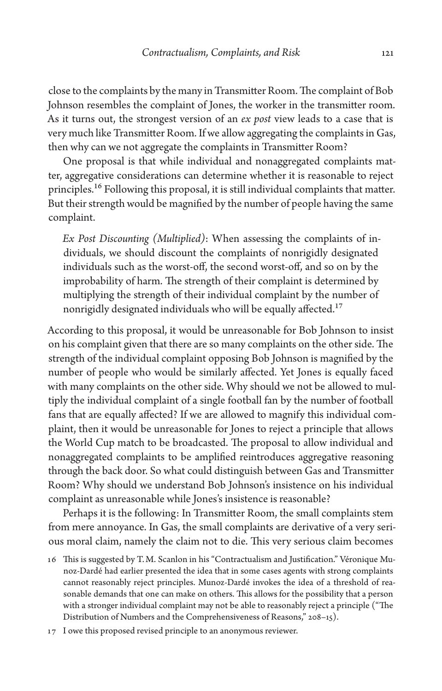close to the complaints by the many in Transmitter Room. The complaint of Bob Johnson resembles the complaint of Jones, the worker in the transmitter room. As it turns out, the strongest version of an *ex post* view leads to a case that is very much like Transmitter Room. If we allow aggregating the complaints in Gas, then why can we not aggregate the complaints in Transmitter Room?

One proposal is that while individual and nonaggregated complaints matter, aggregative considerations can determine whether it is reasonable to reject principles.<sup>16</sup> Following this proposal, it is still individual complaints that matter. But their strength would be magnified by the number of people having the same complaint.

*Ex Post Discounting (Multiplied)*: When assessing the complaints of individuals, we should discount the complaints of nonrigidly designated individuals such as the worst-off, the second worst-off, and so on by the improbability of harm. The strength of their complaint is determined by multiplying the strength of their individual complaint by the number of nonrigidly designated individuals who will be equally affected.<sup>17</sup>

According to this proposal, it would be unreasonable for Bob Johnson to insist on his complaint given that there are so many complaints on the other side. The strength of the individual complaint opposing Bob Johnson is magnified by the number of people who would be similarly affected. Yet Jones is equally faced with many complaints on the other side. Why should we not be allowed to multiply the individual complaint of a single football fan by the number of football fans that are equally affected? If we are allowed to magnify this individual complaint, then it would be unreasonable for Jones to reject a principle that allows the World Cup match to be broadcasted. The proposal to allow individual and nonaggregated complaints to be amplified reintroduces aggregative reasoning through the back door. So what could distinguish between Gas and Transmitter Room? Why should we understand Bob Johnson's insistence on his individual complaint as unreasonable while Jones's insistence is reasonable?

Perhaps it is the following: In Transmitter Room, the small complaints stem from mere annoyance. In Gas, the small complaints are derivative of a very serious moral claim, namely the claim not to die. This very serious claim becomes

17 I owe this proposed revised principle to an anonymous reviewer.

<sup>16</sup> This is suggested by T.M. Scanlon in his "Contractualism and Justification." Véronique Munoz-Dardé had earlier presented the idea that in some cases agents with strong complaints cannot reasonably reject principles. Munoz-Dardé invokes the idea of a threshold of reasonable demands that one can make on others. This allows for the possibility that a person with a stronger individual complaint may not be able to reasonably reject a principle ("The Distribution of Numbers and the Comprehensiveness of Reasons," 208–15).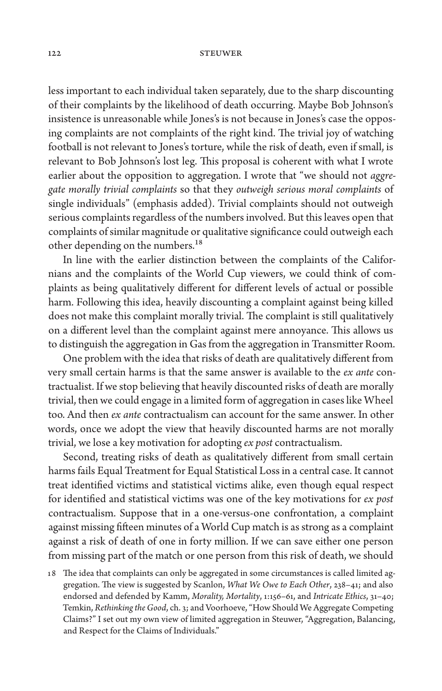less important to each individual taken separately, due to the sharp discounting of their complaints by the likelihood of death occurring. Maybe Bob Johnson's insistence is unreasonable while Jones's is not because in Jones's case the opposing complaints are not complaints of the right kind. The trivial joy of watching football is not relevant to Jones's torture, while the risk of death, even if small, is relevant to Bob Johnson's lost leg. This proposal is coherent with what I wrote earlier about the opposition to aggregation. I wrote that "we should not *aggregate morally trivial complaints* so that they *outweigh serious moral complaints* of single individuals" (emphasis added). Trivial complaints should not outweigh serious complaints regardless of the numbers involved. But this leaves open that complaints of similar magnitude or qualitative significance could outweigh each other depending on the numbers.<sup>18</sup>

In line with the earlier distinction between the complaints of the Californians and the complaints of the World Cup viewers, we could think of complaints as being qualitatively different for different levels of actual or possible harm. Following this idea, heavily discounting a complaint against being killed does not make this complaint morally trivial. The complaint is still qualitatively on a different level than the complaint against mere annoyance. This allows us to distinguish the aggregation in Gas from the aggregation in Transmitter Room.

One problem with the idea that risks of death are qualitatively different from very small certain harms is that the same answer is available to the *ex ante* contractualist. If we stop believing that heavily discounted risks of death are morally trivial, then we could engage in a limited form of aggregation in cases like Wheel too. And then *ex ante* contractualism can account for the same answer. In other words, once we adopt the view that heavily discounted harms are not morally trivial, we lose a key motivation for adopting *ex post* contractualism.

Second, treating risks of death as qualitatively different from small certain harms fails Equal Treatment for Equal Statistical Loss in a central case. It cannot treat identified victims and statistical victims alike, even though equal respect for identified and statistical victims was one of the key motivations for *ex post* contractualism. Suppose that in a one-versus-one confrontation, a complaint against missing fifteen minutes of a World Cup match is as strong as a complaint against a risk of death of one in forty million. If we can save either one person from missing part of the match or one person from this risk of death, we should

18 The idea that complaints can only be aggregated in some circumstances is called limited aggregation. The view is suggested by Scanlon, *What We Owe to Each Other*, 238–41; and also endorsed and defended by Kamm, *Morality, Mortality*, 1:156–61, and *Intricate Ethics*, 31–40; Temkin, *Rethinking the Good*, ch. 3; and Voorhoeve, "How Should We Aggregate Competing Claims?" I set out my own view of limited aggregation in Steuwer, "Aggregation, Balancing, and Respect for the Claims of Individuals."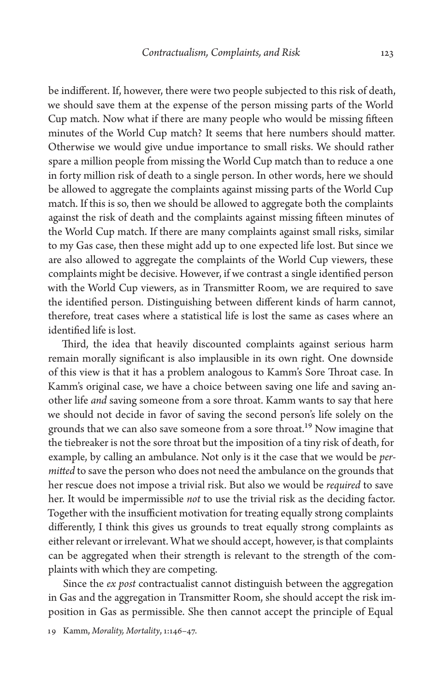be indifferent. If, however, there were two people subjected to this risk of death, we should save them at the expense of the person missing parts of the World Cup match. Now what if there are many people who would be missing fifteen minutes of the World Cup match? It seems that here numbers should matter. Otherwise we would give undue importance to small risks. We should rather spare a million people from missing the World Cup match than to reduce a one in forty million risk of death to a single person. In other words, here we should be allowed to aggregate the complaints against missing parts of the World Cup match. If this is so, then we should be allowed to aggregate both the complaints against the risk of death and the complaints against missing fifteen minutes of the World Cup match. If there are many complaints against small risks, similar to my Gas case, then these might add up to one expected life lost. But since we are also allowed to aggregate the complaints of the World Cup viewers, these complaints might be decisive. However, if we contrast a single identified person with the World Cup viewers, as in Transmitter Room, we are required to save the identified person. Distinguishing between different kinds of harm cannot, therefore, treat cases where a statistical life is lost the same as cases where an identified life is lost.

Third, the idea that heavily discounted complaints against serious harm remain morally significant is also implausible in its own right. One downside of this view is that it has a problem analogous to Kamm's Sore Throat case. In Kamm's original case, we have a choice between saving one life and saving another life *and* saving someone from a sore throat. Kamm wants to say that here we should not decide in favor of saving the second person's life solely on the grounds that we can also save someone from a sore throat.<sup>19</sup> Now imagine that the tiebreaker is not the sore throat but the imposition of a tiny risk of death, for example, by calling an ambulance. Not only is it the case that we would be *permitted* to save the person who does not need the ambulance on the grounds that her rescue does not impose a trivial risk. But also we would be *required* to save her. It would be impermissible *not* to use the trivial risk as the deciding factor. Together with the insufficient motivation for treating equally strong complaints differently, I think this gives us grounds to treat equally strong complaints as either relevant or irrelevant. What we should accept, however, is that complaints can be aggregated when their strength is relevant to the strength of the complaints with which they are competing.

Since the *ex post* contractualist cannot distinguish between the aggregation in Gas and the aggregation in Transmitter Room, she should accept the risk imposition in Gas as permissible. She then cannot accept the principle of Equal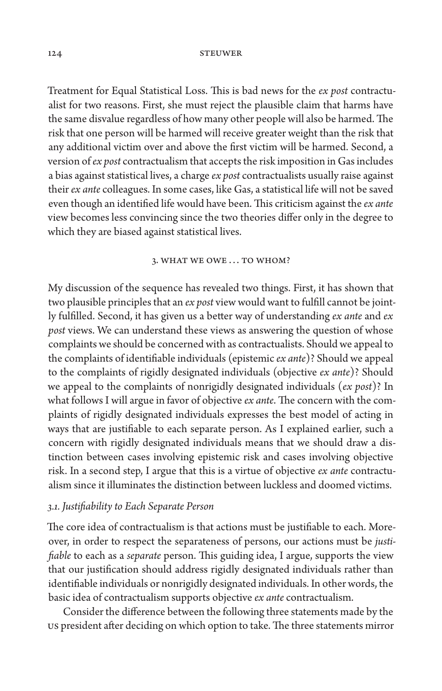Treatment for Equal Statistical Loss. This is bad news for the *ex post* contractualist for two reasons. First, she must reject the plausible claim that harms have the same disvalue regardless of how many other people will also be harmed. The risk that one person will be harmed will receive greater weight than the risk that any additional victim over and above the first victim will be harmed. Second, a version of *ex post* contractualism that accepts the risk imposition in Gas includes a bias against statistical lives, a charge *ex post* contractualists usually raise against their *ex ante* colleagues. In some cases, like Gas, a statistical life will not be saved even though an identified life would have been. This criticism against the *ex ante* view becomes less convincing since the two theories differ only in the degree to which they are biased against statistical lives.

#### 3. WHAT WE OWE ... TO WHOM?

My discussion of the sequence has revealed two things. First, it has shown that two plausible principles that an *ex post* view would want to fulfill cannot be jointly fulfilled. Second, it has given us a better way of understanding *ex ante* and *ex post* views. We can understand these views as answering the question of whose complaints we should be concerned with as contractualists. Should we appeal to the complaints of identifiable individuals (epistemic *ex ante*)? Should we appeal to the complaints of rigidly designated individuals (objective *ex ante*)? Should we appeal to the complaints of nonrigidly designated individuals (*ex post*)? In what follows I will argue in favor of objective *ex ante*. The concern with the complaints of rigidly designated individuals expresses the best model of acting in ways that are justifiable to each separate person. As I explained earlier, such a concern with rigidly designated individuals means that we should draw a distinction between cases involving epistemic risk and cases involving objective risk. In a second step, I argue that this is a virtue of objective *ex ante* contractualism since it illuminates the distinction between luckless and doomed victims.

## *3.1. Justifiability to Each Separate Person*

The core idea of contractualism is that actions must be justifiable to each. Moreover, in order to respect the separateness of persons, our actions must be *justifiable* to each as a *separate* person. This guiding idea, I argue, supports the view that our justification should address rigidly designated individuals rather than identifiable individuals or nonrigidly designated individuals. In other words, the basic idea of contractualism supports objective *ex ante* contractualism.

Consider the difference between the following three statements made by the US president after deciding on which option to take. The three statements mirror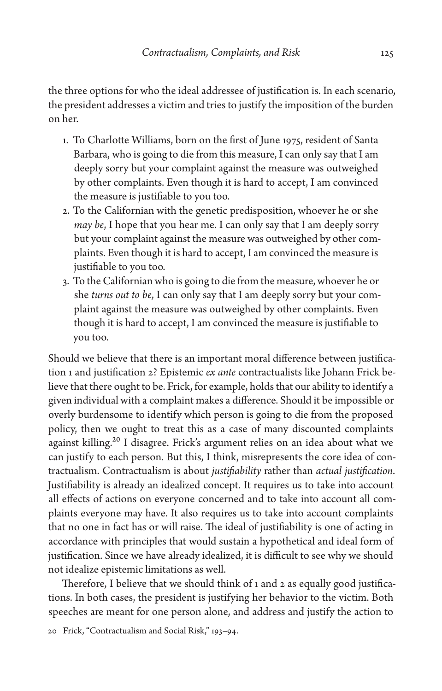the three options for who the ideal addressee of justification is. In each scenario, the president addresses a victim and tries to justify the imposition of the burden on her.

- 1. To Charlotte Williams, born on the first of June 1975, resident of Santa Barbara, who is going to die from this measure, I can only say that I am deeply sorry but your complaint against the measure was outweighed by other complaints. Even though it is hard to accept, I am convinced the measure is justifiable to you too.
- 2. To the Californian with the genetic predisposition, whoever he or she *may be*, I hope that you hear me. I can only say that I am deeply sorry but your complaint against the measure was outweighed by other complaints. Even though it is hard to accept, I am convinced the measure is justifiable to you too.
- 3. To the Californian who is going to die from the measure, whoever he or she *turns out to be*, I can only say that I am deeply sorry but your complaint against the measure was outweighed by other complaints. Even though it is hard to accept, I am convinced the measure is justifiable to you too.

Should we believe that there is an important moral difference between justification 1 and justification 2? Epistemic *ex ante* contractualists like Johann Frick believe that there ought to be. Frick, for example, holds that our ability to identify a given individual with a complaint makes a difference. Should it be impossible or overly burdensome to identify which person is going to die from the proposed policy, then we ought to treat this as a case of many discounted complaints against killing.<sup>20</sup> I disagree. Frick's argument relies on an idea about what we can justify to each person. But this, I think, misrepresents the core idea of contractualism. Contractualism is about *justifiability* rather than *actual justification*. Justifiability is already an idealized concept. It requires us to take into account all effects of actions on everyone concerned and to take into account all complaints everyone may have. It also requires us to take into account complaints that no one in fact has or will raise. The ideal of justifiability is one of acting in accordance with principles that would sustain a hypothetical and ideal form of justification. Since we have already idealized, it is difficult to see why we should not idealize epistemic limitations as well.

Therefore, I believe that we should think of 1 and 2 as equally good justifications. In both cases, the president is justifying her behavior to the victim. Both speeches are meant for one person alone, and address and justify the action to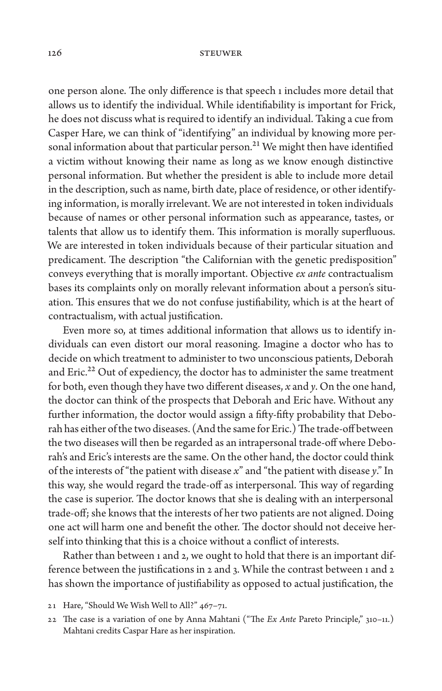one person alone. The only difference is that speech 1 includes more detail that allows us to identify the individual. While identifiability is important for Frick, he does not discuss what is required to identify an individual. Taking a cue from Casper Hare, we can think of "identifying" an individual by knowing more personal information about that particular person.<sup>21</sup> We might then have identified a victim without knowing their name as long as we know enough distinctive personal information. But whether the president is able to include more detail in the description, such as name, birth date, place of residence, or other identifying information, is morally irrelevant. We are not interested in token individuals because of names or other personal information such as appearance, tastes, or talents that allow us to identify them. This information is morally superfluous. We are interested in token individuals because of their particular situation and predicament. The description "the Californian with the genetic predisposition" conveys everything that is morally important. Objective *ex ante* contractualism bases its complaints only on morally relevant information about a person's situation. This ensures that we do not confuse justifiability, which is at the heart of contractualism, with actual justification.

Even more so, at times additional information that allows us to identify individuals can even distort our moral reasoning. Imagine a doctor who has to decide on which treatment to administer to two unconscious patients, Deborah and Eric.<sup>22</sup> Out of expediency, the doctor has to administer the same treatment for both, even though they have two different diseases, *x* and *y*. On the one hand, the doctor can think of the prospects that Deborah and Eric have. Without any further information, the doctor would assign a fifty-fifty probability that Deborah has either of the two diseases. (And the same for Eric.) The trade-off between the two diseases will then be regarded as an intrapersonal trade-off where Deborah's and Eric's interests are the same. On the other hand, the doctor could think of the interests of "the patient with disease *x*" and "the patient with disease *y*." In this way, she would regard the trade-off as interpersonal. This way of regarding the case is superior. The doctor knows that she is dealing with an interpersonal trade-off; she knows that the interests of her two patients are not aligned. Doing one act will harm one and benefit the other. The doctor should not deceive herself into thinking that this is a choice without a conflict of interests.

Rather than between 1 and 2, we ought to hold that there is an important difference between the justifications in 2 and 3. While the contrast between 1 and 2 has shown the importance of justifiability as opposed to actual justification, the

- 21 Hare, "Should We Wish Well to All?" 467–71.
- 22 The case is a variation of one by Anna Mahtani ("The *Ex Ante* Pareto Principle," 310–11.) Mahtani credits Caspar Hare as her inspiration.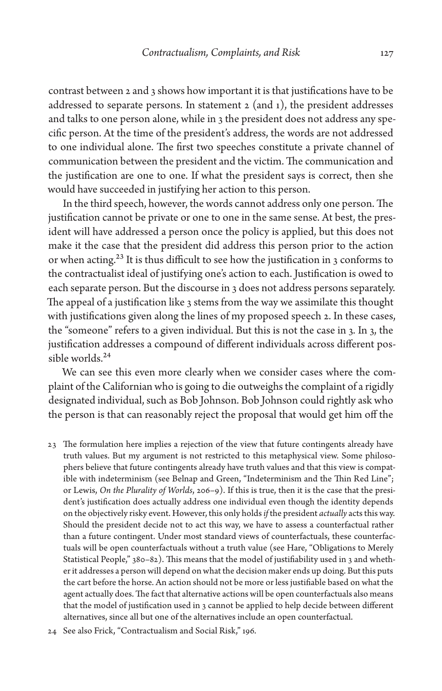contrast between 2 and 3 shows how important it is that justifications have to be addressed to separate persons. In statement  $2$  (and  $1$ ), the president addresses and talks to one person alone, while in 3 the president does not address any specific person. At the time of the president's address, the words are not addressed to one individual alone. The first two speeches constitute a private channel of communication between the president and the victim. The communication and the justification are one to one. If what the president says is correct, then she would have succeeded in justifying her action to this person.

In the third speech, however, the words cannot address only one person. The justification cannot be private or one to one in the same sense. At best, the president will have addressed a person once the policy is applied, but this does not make it the case that the president did address this person prior to the action or when acting.<sup>23</sup> It is thus difficult to see how the justification in 3 conforms to the contractualist ideal of justifying one's action to each. Justification is owed to each separate person. But the discourse in 3 does not address persons separately. The appeal of a justification like 3 stems from the way we assimilate this thought with justifications given along the lines of my proposed speech 2. In these cases, the "someone" refers to a given individual. But this is not the case in 3. In 3, the justification addresses a compound of different individuals across different possible worlds.<sup>24</sup>

We can see this even more clearly when we consider cases where the complaint of the Californian who is going to die outweighs the complaint of a rigidly designated individual, such as Bob Johnson. Bob Johnson could rightly ask who the person is that can reasonably reject the proposal that would get him off the

- 23 The formulation here implies a rejection of the view that future contingents already have truth values. But my argument is not restricted to this metaphysical view. Some philosophers believe that future contingents already have truth values and that this view is compatible with indeterminism (see Belnap and Green, "Indeterminism and the Thin Red Line"; or Lewis, *On the Plurality of Worlds*, 206–9). If this is true, then it is the case that the president's justification does actually address one individual even though the identity depends on the objectively risky event. However, this only holds *if* the president *actually* acts this way. Should the president decide not to act this way, we have to assess a counterfactual rather than a future contingent. Under most standard views of counterfactuals, these counterfactuals will be open counterfactuals without a truth value (see Hare, "Obligations to Merely Statistical People," 380–82). This means that the model of justifiability used in 3 and whether it addresses a person will depend on what the decision maker ends up doing. But this puts the cart before the horse. An action should not be more or less justifiable based on what the agent actually does. The fact that alternative actions will be open counterfactuals also means that the model of justification used in 3 cannot be applied to help decide between different alternatives, since all but one of the alternatives include an open counterfactual.
- 24 See also Frick, "Contractualism and Social Risk," 196.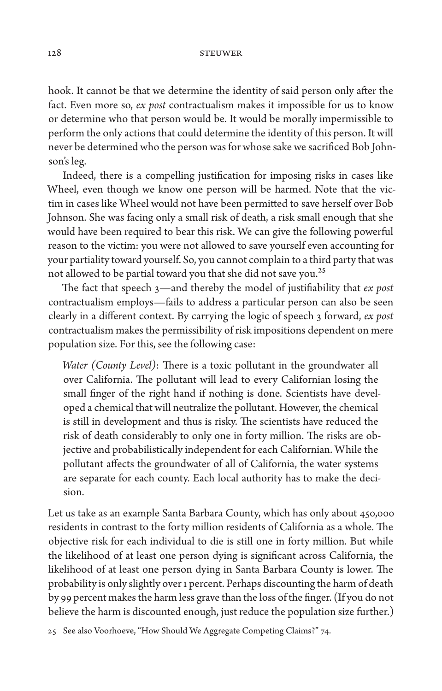hook. It cannot be that we determine the identity of said person only after the fact. Even more so, *ex post* contractualism makes it impossible for us to know or determine who that person would be. It would be morally impermissible to perform the only actions that could determine the identity of this person. It will never be determined who the person was for whose sake we sacrificed Bob Johnson's leg.

Indeed, there is a compelling justification for imposing risks in cases like Wheel, even though we know one person will be harmed. Note that the victim in cases like Wheel would not have been permitted to save herself over Bob Johnson. She was facing only a small risk of death, a risk small enough that she would have been required to bear this risk. We can give the following powerful reason to the victim: you were not allowed to save yourself even accounting for your partiality toward yourself. So, you cannot complain to a third party that was not allowed to be partial toward you that she did not save you.<sup>25</sup>

The fact that speech 3—and thereby the model of justifiability that *ex post* contractualism employs—fails to address a particular person can also be seen clearly in a different context. By carrying the logic of speech 3 forward, *ex post* contractualism makes the permissibility of risk impositions dependent on mere population size. For this, see the following case:

*Water (County Level)*: There is a toxic pollutant in the groundwater all over California. The pollutant will lead to every Californian losing the small finger of the right hand if nothing is done. Scientists have developed a chemical that will neutralize the pollutant. However, the chemical is still in development and thus is risky. The scientists have reduced the risk of death considerably to only one in forty million. The risks are objective and probabilistically independent for each Californian. While the pollutant affects the groundwater of all of California, the water systems are separate for each county. Each local authority has to make the decision.

Let us take as an example Santa Barbara County, which has only about 450,000 residents in contrast to the forty million residents of California as a whole. The objective risk for each individual to die is still one in forty million. But while the likelihood of at least one person dying is significant across California, the likelihood of at least one person dying in Santa Barbara County is lower. The probability is only slightly over 1 percent. Perhaps discounting the harm of death by 99 percent makes the harm less grave than the loss of the finger. (If you do not believe the harm is discounted enough, just reduce the population size further.)

25 See also Voorhoeve, "How Should We Aggregate Competing Claims?" 74.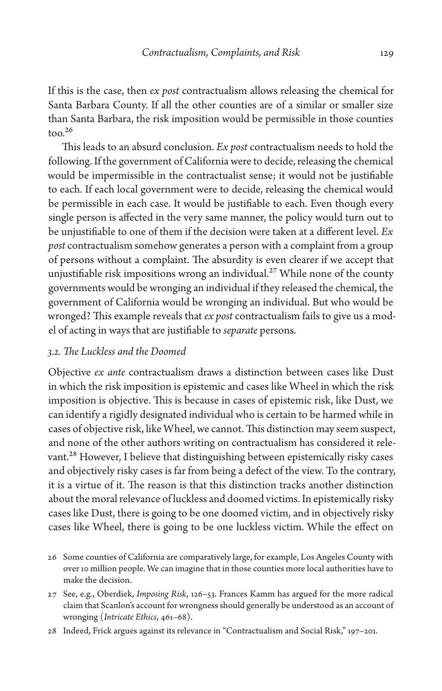If this is the case, then *ex post* contractualism allows releasing the chemical for Santa Barbara County. If all the other counties are of a similar or smaller size than Santa Barbara, the risk imposition would be permissible in those counties  $\text{too.}^{26}$ 

This leads to an absurd conclusion. *Ex post* contractualism needs to hold the following. If the government of California were to decide, releasing the chemical would be impermissible in the contractualist sense; it would not be justifiable to each. If each local government were to decide, releasing the chemical would be permissible in each case. It would be justifiable to each. Even though every single person is affected in the very same manner, the policy would turn out to be unjustifiable to one of them if the decision were taken at a different level. *Ex post* contractualism somehow generates a person with a complaint from a group of persons without a complaint. The absurdity is even clearer if we accept that unjustifiable risk impositions wrong an individual.<sup>27</sup> While none of the county governments would be wronging an individual if they released the chemical, the government of California would be wronging an individual. But who would be wronged? This example reveals that *ex post* contractualism fails to give us a model of acting in ways that are justifiable to *separate* persons.

## *3.2. The Luckless and the Doomed*

Objective *ex ante* contractualism draws a distinction between cases like Dust in which the risk imposition is epistemic and cases like Wheel in which the risk imposition is objective. This is because in cases of epistemic risk, like Dust, we can identify a rigidly designated individual who is certain to be harmed while in cases of objective risk, like Wheel, we cannot. This distinction may seem suspect, and none of the other authors writing on contractualism has considered it relevant.<sup>28</sup> However, I believe that distinguishing between epistemically risky cases and objectively risky cases is far from being a defect of the view. To the contrary, it is a virtue of it. The reason is that this distinction tracks another distinction about the moral relevance of luckless and doomed victims. In epistemically risky cases like Dust, there is going to be one doomed victim, and in objectively risky cases like Wheel, there is going to be one luckless victim. While the effect on

- 26 Some counties of California are comparatively large, for example, Los Angeles County with over 10 million people. We can imagine that in those counties more local authorities have to make the decision.
- 27 See, e.g., Oberdiek, *Imposing Risk*, 126–53. Frances Kamm has argued for the more radical claim that Scanlon's account for wrongness should generally be understood as an account of wronging (*Intricate Ethics*, 461–68).
- 28 Indeed, Frick argues against its relevance in "Contractualism and Social Risk," 197–201.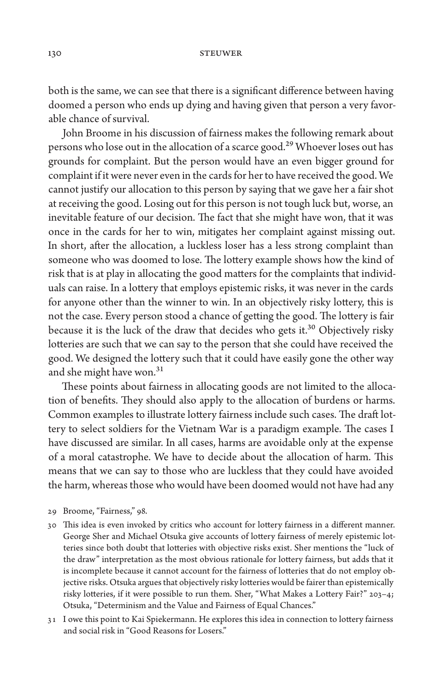both is the same, we can see that there is a significant difference between having doomed a person who ends up dying and having given that person a very favorable chance of survival.

John Broome in his discussion of fairness makes the following remark about persons who lose out in the allocation of a scarce good.<sup>29</sup> Whoever loses out has grounds for complaint. But the person would have an even bigger ground for complaint if it were never even in the cards for her to have received the good. We cannot justify our allocation to this person by saying that we gave her a fair shot at receiving the good. Losing out for this person is not tough luck but, worse, an inevitable feature of our decision. The fact that she might have won, that it was once in the cards for her to win, mitigates her complaint against missing out. In short, after the allocation, a luckless loser has a less strong complaint than someone who was doomed to lose. The lottery example shows how the kind of risk that is at play in allocating the good matters for the complaints that individuals can raise. In a lottery that employs epistemic risks, it was never in the cards for anyone other than the winner to win. In an objectively risky lottery, this is not the case. Every person stood a chance of getting the good. The lottery is fair because it is the luck of the draw that decides who gets it.<sup>30</sup> Objectively risky lotteries are such that we can say to the person that she could have received the good. We designed the lottery such that it could have easily gone the other way and she might have won.<sup>31</sup>

These points about fairness in allocating goods are not limited to the allocation of benefits. They should also apply to the allocation of burdens or harms. Common examples to illustrate lottery fairness include such cases. The draft lottery to select soldiers for the Vietnam War is a paradigm example. The cases I have discussed are similar. In all cases, harms are avoidable only at the expense of a moral catastrophe. We have to decide about the allocation of harm. This means that we can say to those who are luckless that they could have avoided the harm, whereas those who would have been doomed would not have had any

- 29 Broome, "Fairness," 98.
- 30 This idea is even invoked by critics who account for lottery fairness in a different manner. George Sher and Michael Otsuka give accounts of lottery fairness of merely epistemic lotteries since both doubt that lotteries with objective risks exist. Sher mentions the "luck of the draw" interpretation as the most obvious rationale for lottery fairness, but adds that it is incomplete because it cannot account for the fairness of lotteries that do not employ objective risks. Otsuka argues that objectively risky lotteries would be fairer than epistemically risky lotteries, if it were possible to run them. Sher, "What Makes a Lottery Fair?" 203–4; Otsuka, "Determinism and the Value and Fairness of Equal Chances."
- 31 I owe this point to Kai Spiekermann. He explores this idea in connection to lottery fairness and social risk in "Good Reasons for Losers."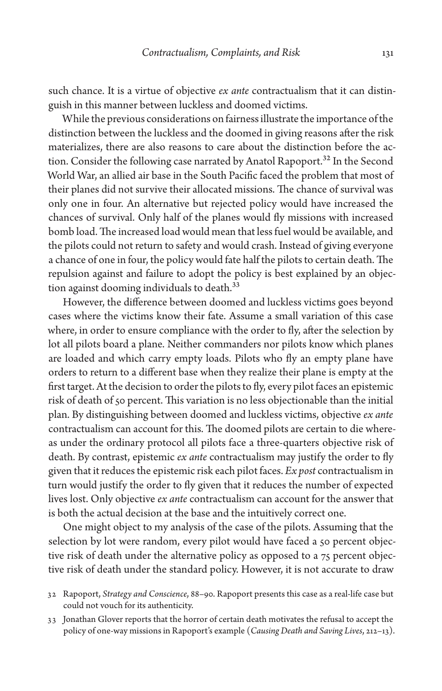such chance. It is a virtue of objective *ex ante* contractualism that it can distinguish in this manner between luckless and doomed victims.

While the previous considerations on fairness illustrate the importance of the distinction between the luckless and the doomed in giving reasons after the risk materializes, there are also reasons to care about the distinction before the action. Consider the following case narrated by Anatol Rapoport.<sup>32</sup> In the Second World War, an allied air base in the South Pacific faced the problem that most of their planes did not survive their allocated missions. The chance of survival was only one in four. An alternative but rejected policy would have increased the chances of survival. Only half of the planes would fly missions with increased bomb load. The increased load would mean that less fuel would be available, and the pilots could not return to safety and would crash. Instead of giving everyone a chance of one in four, the policy would fate half the pilots to certain death. The repulsion against and failure to adopt the policy is best explained by an objection against dooming individuals to death.<sup>33</sup>

However, the difference between doomed and luckless victims goes beyond cases where the victims know their fate. Assume a small variation of this case where, in order to ensure compliance with the order to fly, after the selection by lot all pilots board a plane. Neither commanders nor pilots know which planes are loaded and which carry empty loads. Pilots who fly an empty plane have orders to return to a different base when they realize their plane is empty at the first target. At the decision to order the pilots to fly, every pilot faces an epistemic risk of death of 50 percent. This variation is no less objectionable than the initial plan. By distinguishing between doomed and luckless victims, objective *ex ante* contractualism can account for this. The doomed pilots are certain to die whereas under the ordinary protocol all pilots face a three-quarters objective risk of death. By contrast, epistemic *ex ante* contractualism may justify the order to fly given that it reduces the epistemic risk each pilot faces. *Ex post* contractualism in turn would justify the order to fly given that it reduces the number of expected lives lost. Only objective *ex ante* contractualism can account for the answer that is both the actual decision at the base and the intuitively correct one.

One might object to my analysis of the case of the pilots. Assuming that the selection by lot were random, every pilot would have faced a 50 percent objective risk of death under the alternative policy as opposed to a 75 percent objective risk of death under the standard policy. However, it is not accurate to draw

- 32 Rapoport, *Strategy and Conscience*, 88–90. Rapoport presents this case as a real-life case but could not vouch for its authenticity.
- 33 Jonathan Glover reports that the horror of certain death motivates the refusal to accept the policy of one-way missions in Rapoport's example (*Causing Death and Saving Lives*, 212–13).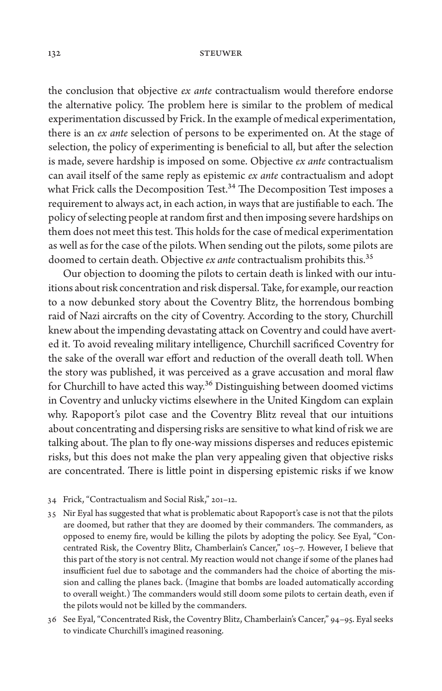the conclusion that objective *ex ante* contractualism would therefore endorse the alternative policy. The problem here is similar to the problem of medical experimentation discussed by Frick. In the example of medical experimentation, there is an *ex ante* selection of persons to be experimented on. At the stage of selection, the policy of experimenting is beneficial to all, but after the selection is made, severe hardship is imposed on some. Objective *ex ante* contractualism can avail itself of the same reply as epistemic *ex ante* contractualism and adopt what Frick calls the Decomposition Test.<sup>34</sup> The Decomposition Test imposes a requirement to always act, in each action, in ways that are justifiable to each. The policy of selecting people at random first and then imposing severe hardships on them does not meet this test. This holds for the case of medical experimentation as well as for the case of the pilots. When sending out the pilots, some pilots are doomed to certain death. Objective *ex ante* contractualism prohibits this.<sup>35</sup>

Our objection to dooming the pilots to certain death is linked with our intuitions about risk concentration and risk dispersal. Take, for example, our reaction to a now debunked story about the Coventry Blitz, the horrendous bombing raid of Nazi aircrafts on the city of Coventry. According to the story, Churchill knew about the impending devastating attack on Coventry and could have averted it. To avoid revealing military intelligence, Churchill sacrificed Coventry for the sake of the overall war effort and reduction of the overall death toll. When the story was published, it was perceived as a grave accusation and moral flaw for Churchill to have acted this way.<sup>36</sup> Distinguishing between doomed victims in Coventry and unlucky victims elsewhere in the United Kingdom can explain why. Rapoport's pilot case and the Coventry Blitz reveal that our intuitions about concentrating and dispersing risks are sensitive to what kind of risk we are talking about. The plan to fly one-way missions disperses and reduces epistemic risks, but this does not make the plan very appealing given that objective risks are concentrated. There is little point in dispersing epistemic risks if we know

- 34 Frick, "Contractualism and Social Risk," 201–12.
- 35 Nir Eyal has suggested that what is problematic about Rapoport's case is not that the pilots are doomed, but rather that they are doomed by their commanders. The commanders, as opposed to enemy fire, would be killing the pilots by adopting the policy. See Eyal, "Concentrated Risk, the Coventry Blitz, Chamberlain's Cancer," 105–7. However, I believe that this part of the story is not central. My reaction would not change if some of the planes had insufficient fuel due to sabotage and the commanders had the choice of aborting the mission and calling the planes back. (Imagine that bombs are loaded automatically according to overall weight.) The commanders would still doom some pilots to certain death, even if the pilots would not be killed by the commanders.
- 36 See Eyal, "Concentrated Risk, the Coventry Blitz, Chamberlain's Cancer," 94–95. Eyal seeks to vindicate Churchill's imagined reasoning.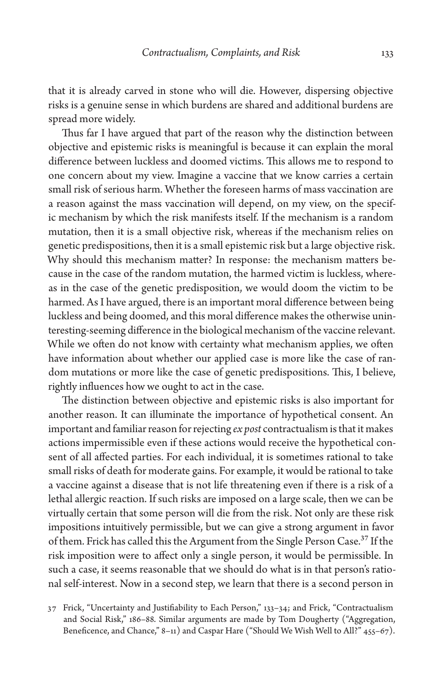that it is already carved in stone who will die. However, dispersing objective risks is a genuine sense in which burdens are shared and additional burdens are spread more widely.

Thus far I have argued that part of the reason why the distinction between objective and epistemic risks is meaningful is because it can explain the moral difference between luckless and doomed victims. This allows me to respond to one concern about my view. Imagine a vaccine that we know carries a certain small risk of serious harm. Whether the foreseen harms of mass vaccination are a reason against the mass vaccination will depend, on my view, on the specific mechanism by which the risk manifests itself. If the mechanism is a random mutation, then it is a small objective risk, whereas if the mechanism relies on genetic predispositions, then it is a small epistemic risk but a large objective risk. Why should this mechanism matter? In response: the mechanism matters because in the case of the random mutation, the harmed victim is luckless, whereas in the case of the genetic predisposition, we would doom the victim to be harmed. As I have argued, there is an important moral difference between being luckless and being doomed, and this moral difference makes the otherwise uninteresting-seeming difference in the biological mechanism of the vaccine relevant. While we often do not know with certainty what mechanism applies, we often have information about whether our applied case is more like the case of random mutations or more like the case of genetic predispositions. This, I believe, rightly influences how we ought to act in the case.

The distinction between objective and epistemic risks is also important for another reason. It can illuminate the importance of hypothetical consent. An important and familiar reason for rejecting *ex post* contractualism is that it makes actions impermissible even if these actions would receive the hypothetical consent of all affected parties. For each individual, it is sometimes rational to take small risks of death for moderate gains. For example, it would be rational to take a vaccine against a disease that is not life threatening even if there is a risk of a lethal allergic reaction. If such risks are imposed on a large scale, then we can be virtually certain that some person will die from the risk. Not only are these risk impositions intuitively permissible, but we can give a strong argument in favor of them. Frick has called this the Argument from the Single Person Case.<sup>37</sup> If the risk imposition were to affect only a single person, it would be permissible. In such a case, it seems reasonable that we should do what is in that person's rational self-interest. Now in a second step, we learn that there is a second person in

<sup>37</sup> Frick, "Uncertainty and Justifiability to Each Person," 133–34; and Frick, "Contractualism and Social Risk," 186–88. Similar arguments are made by Tom Dougherty ("Aggregation, Beneficence, and Chance," 8-11) and Caspar Hare ("Should We Wish Well to All?" 455-67).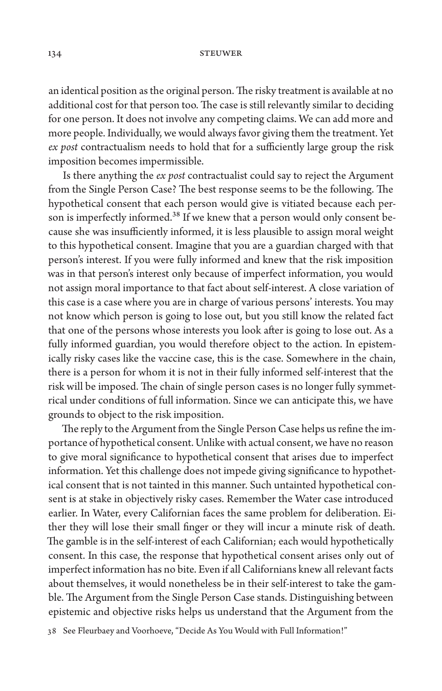an identical position as the original person. The risky treatment is available at no additional cost for that person too. The case is still relevantly similar to deciding for one person. It does not involve any competing claims. We can add more and more people. Individually, we would always favor giving them the treatment. Yet *ex post* contractualism needs to hold that for a sufficiently large group the risk imposition becomes impermissible.

Is there anything the *ex post* contractualist could say to reject the Argument from the Single Person Case? The best response seems to be the following. The hypothetical consent that each person would give is vitiated because each person is imperfectly informed.<sup>38</sup> If we knew that a person would only consent because she was insufficiently informed, it is less plausible to assign moral weight to this hypothetical consent. Imagine that you are a guardian charged with that person's interest. If you were fully informed and knew that the risk imposition was in that person's interest only because of imperfect information, you would not assign moral importance to that fact about self-interest. A close variation of this case is a case where you are in charge of various persons' interests. You may not know which person is going to lose out, but you still know the related fact that one of the persons whose interests you look after is going to lose out. As a fully informed guardian, you would therefore object to the action. In epistemically risky cases like the vaccine case, this is the case. Somewhere in the chain, there is a person for whom it is not in their fully informed self-interest that the risk will be imposed. The chain of single person cases is no longer fully symmetrical under conditions of full information. Since we can anticipate this, we have grounds to object to the risk imposition.

The reply to the Argument from the Single Person Case helps us refine the importance of hypothetical consent. Unlike with actual consent, we have no reason to give moral significance to hypothetical consent that arises due to imperfect information. Yet this challenge does not impede giving significance to hypothetical consent that is not tainted in this manner. Such untainted hypothetical consent is at stake in objectively risky cases. Remember the Water case introduced earlier. In Water, every Californian faces the same problem for deliberation. Either they will lose their small finger or they will incur a minute risk of death. The gamble is in the self-interest of each Californian; each would hypothetically consent. In this case, the response that hypothetical consent arises only out of imperfect information has no bite. Even if all Californians knew all relevant facts about themselves, it would nonetheless be in their self-interest to take the gamble. The Argument from the Single Person Case stands. Distinguishing between epistemic and objective risks helps us understand that the Argument from the

38 See Fleurbaey and Voorhoeve, "Decide As You Would with Full Information!"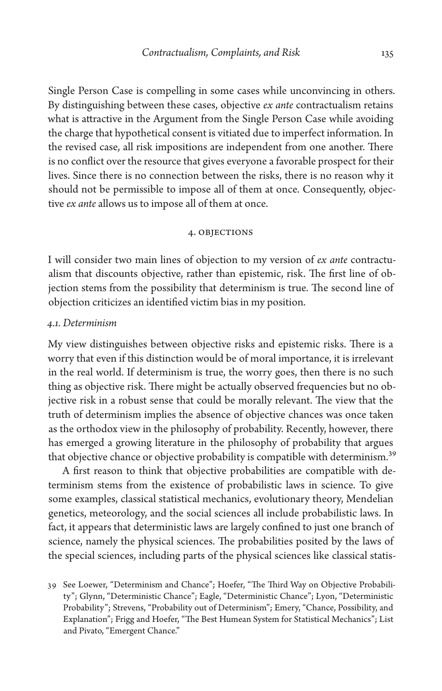Single Person Case is compelling in some cases while unconvincing in others. By distinguishing between these cases, objective *ex ante* contractualism retains what is attractive in the Argument from the Single Person Case while avoiding the charge that hypothetical consent is vitiated due to imperfect information. In the revised case, all risk impositions are independent from one another. There is no conflict over the resource that gives everyone a favorable prospect for their lives. Since there is no connection between the risks, there is no reason why it should not be permissible to impose all of them at once. Consequently, objective *ex ante* allows us to impose all of them at once.

### 4. Objections

I will consider two main lines of objection to my version of *ex ante* contractualism that discounts objective, rather than epistemic, risk. The first line of objection stems from the possibility that determinism is true. The second line of objection criticizes an identified victim bias in my position.

## *4.1. Determinism*

My view distinguishes between objective risks and epistemic risks. There is a worry that even if this distinction would be of moral importance, it is irrelevant in the real world. If determinism is true, the worry goes, then there is no such thing as objective risk. There might be actually observed frequencies but no objective risk in a robust sense that could be morally relevant. The view that the truth of determinism implies the absence of objective chances was once taken as the orthodox view in the philosophy of probability. Recently, however, there has emerged a growing literature in the philosophy of probability that argues that objective chance or objective probability is compatible with determinism.<sup>39</sup>

A first reason to think that objective probabilities are compatible with determinism stems from the existence of probabilistic laws in science. To give some examples, classical statistical mechanics, evolutionary theory, Mendelian genetics, meteorology, and the social sciences all include probabilistic laws. In fact, it appears that deterministic laws are largely confined to just one branch of science, namely the physical sciences. The probabilities posited by the laws of the special sciences, including parts of the physical sciences like classical statis-

<sup>39</sup> See Loewer, "Determinism and Chance"; Hoefer, "The Third Way on Objective Probability"; Glynn, "Deterministic Chance"; Eagle, "Deterministic Chance"; Lyon, "Deterministic Probability"; Strevens, "Probability out of Determinism"; Emery, "Chance, Possibility, and Explanation"; Frigg and Hoefer, "The Best Humean System for Statistical Mechanics"; List and Pivato, "Emergent Chance."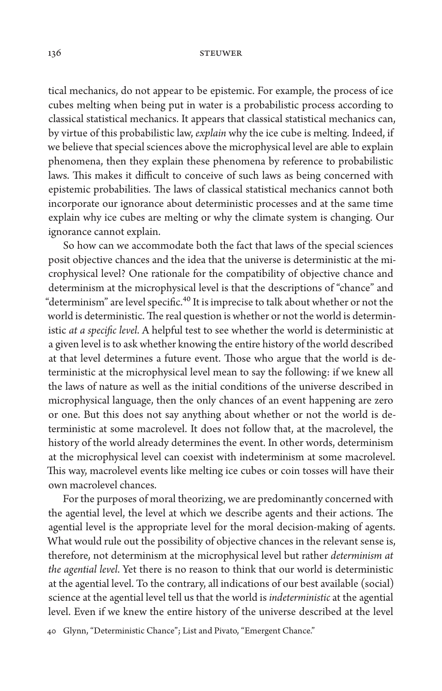tical mechanics, do not appear to be epistemic. For example, the process of ice cubes melting when being put in water is a probabilistic process according to classical statistical mechanics. It appears that classical statistical mechanics can, by virtue of this probabilistic law, *explain* why the ice cube is melting. Indeed, if we believe that special sciences above the microphysical level are able to explain phenomena, then they explain these phenomena by reference to probabilistic laws. This makes it difficult to conceive of such laws as being concerned with epistemic probabilities. The laws of classical statistical mechanics cannot both incorporate our ignorance about deterministic processes and at the same time explain why ice cubes are melting or why the climate system is changing. Our ignorance cannot explain.

So how can we accommodate both the fact that laws of the special sciences posit objective chances and the idea that the universe is deterministic at the microphysical level? One rationale for the compatibility of objective chance and determinism at the microphysical level is that the descriptions of "chance" and "determinism" are level specific.<sup>40</sup> It is imprecise to talk about whether or not the world is deterministic. The real question is whether or not the world is deterministic *at a specific level*. A helpful test to see whether the world is deterministic at a given level is to ask whether knowing the entire history of the world described at that level determines a future event. Those who argue that the world is deterministic at the microphysical level mean to say the following: if we knew all the laws of nature as well as the initial conditions of the universe described in microphysical language, then the only chances of an event happening are zero or one. But this does not say anything about whether or not the world is deterministic at some macrolevel. It does not follow that, at the macrolevel, the history of the world already determines the event. In other words, determinism at the microphysical level can coexist with indeterminism at some macrolevel. This way, macrolevel events like melting ice cubes or coin tosses will have their own macrolevel chances.

For the purposes of moral theorizing, we are predominantly concerned with the agential level, the level at which we describe agents and their actions. The agential level is the appropriate level for the moral decision-making of agents. What would rule out the possibility of objective chances in the relevant sense is, therefore, not determinism at the microphysical level but rather *determinism at the agential level*. Yet there is no reason to think that our world is deterministic at the agential level. To the contrary, all indications of our best available (social) science at the agential level tell us that the world is *indeterministic* at the agential level. Even if we knew the entire history of the universe described at the level

40 Glynn, "Deterministic Chance"; List and Pivato, "Emergent Chance."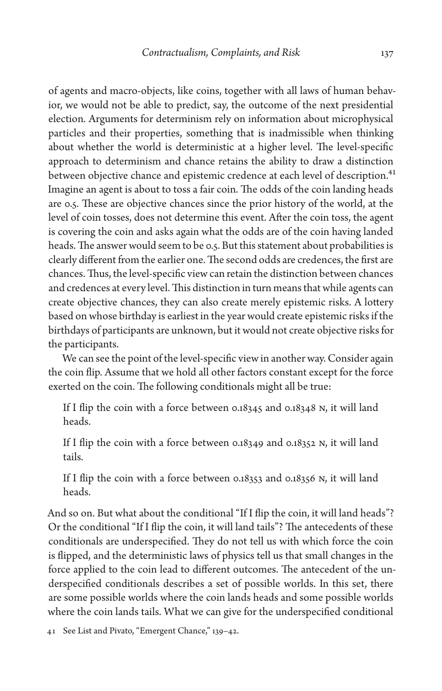of agents and macro-objects, like coins, together with all laws of human behavior, we would not be able to predict, say, the outcome of the next presidential election. Arguments for determinism rely on information about microphysical particles and their properties, something that is inadmissible when thinking about whether the world is deterministic at a higher level. The level-specific approach to determinism and chance retains the ability to draw a distinction between objective chance and epistemic credence at each level of description.<sup>41</sup> Imagine an agent is about to toss a fair coin. The odds of the coin landing heads are 0.5. These are objective chances since the prior history of the world, at the level of coin tosses, does not determine this event. After the coin toss, the agent is covering the coin and asks again what the odds are of the coin having landed heads. The answer would seem to be 0.5. But this statement about probabilities is clearly different from the earlier one. The second odds are credences, the first are chances. Thus, the level-specific view can retain the distinction between chances and credences at every level. This distinction in turn means that while agents can create objective chances, they can also create merely epistemic risks. A lottery based on whose birthday is earliest in the year would create epistemic risks if the birthdays of participants are unknown, but it would not create objective risks for the participants.

We can see the point of the level-specific view in another way. Consider again the coin flip. Assume that we hold all other factors constant except for the force exerted on the coin. The following conditionals might all be true:

If I flip the coin with a force between 0.18345 and 0.18348 N, it will land heads.

If I flip the coin with a force between 0.18349 and 0.18352 N, it will land tails.

If I flip the coin with a force between 0.18353 and 0.18356 N, it will land heads.

And so on. But what about the conditional "If I flip the coin, it will land heads"? Or the conditional "If I flip the coin, it will land tails"? The antecedents of these conditionals are underspecified. They do not tell us with which force the coin is flipped, and the deterministic laws of physics tell us that small changes in the force applied to the coin lead to different outcomes. The antecedent of the underspecified conditionals describes a set of possible worlds. In this set, there are some possible worlds where the coin lands heads and some possible worlds where the coin lands tails. What we can give for the underspecified conditional

41 See List and Pivato, "Emergent Chance," 139–42.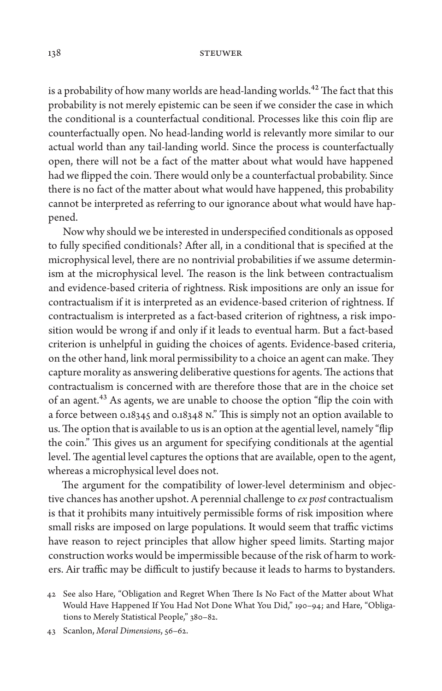is a probability of how many worlds are head-landing worlds.<sup>42</sup> The fact that this probability is not merely epistemic can be seen if we consider the case in which the conditional is a counterfactual conditional. Processes like this coin flip are counterfactually open. No head-landing world is relevantly more similar to our actual world than any tail-landing world. Since the process is counterfactually open, there will not be a fact of the matter about what would have happened had we flipped the coin. There would only be a counterfactual probability. Since there is no fact of the matter about what would have happened, this probability cannot be interpreted as referring to our ignorance about what would have happened.

Now why should we be interested in underspecified conditionals as opposed to fully specified conditionals? After all, in a conditional that is specified at the microphysical level, there are no nontrivial probabilities if we assume determinism at the microphysical level. The reason is the link between contractualism and evidence-based criteria of rightness. Risk impositions are only an issue for contractualism if it is interpreted as an evidence-based criterion of rightness. If contractualism is interpreted as a fact-based criterion of rightness, a risk imposition would be wrong if and only if it leads to eventual harm. But a fact-based criterion is unhelpful in guiding the choices of agents. Evidence-based criteria, on the other hand, link moral permissibility to a choice an agent can make. They capture morality as answering deliberative questions for agents. The actions that contractualism is concerned with are therefore those that are in the choice set of an agent.<sup>43</sup> As agents, we are unable to choose the option "flip the coin with a force between 0.18345 and 0.18348 N." This is simply not an option available to us. The option that is available to us is an option at the agential level, namely "flip the coin." This gives us an argument for specifying conditionals at the agential level. The agential level captures the options that are available, open to the agent, whereas a microphysical level does not.

The argument for the compatibility of lower-level determinism and objective chances has another upshot. A perennial challenge to *ex post* contractualism is that it prohibits many intuitively permissible forms of risk imposition where small risks are imposed on large populations. It would seem that traffic victims have reason to reject principles that allow higher speed limits. Starting major construction works would be impermissible because of the risk of harm to workers. Air traffic may be difficult to justify because it leads to harms to bystanders.

<sup>42</sup> See also Hare, "Obligation and Regret When There Is No Fact of the Matter about What Would Have Happened If You Had Not Done What You Did," 190–94; and Hare, "Obligations to Merely Statistical People," 380–82.

<sup>43</sup> Scanlon, *Moral Dimensions*, 56–62.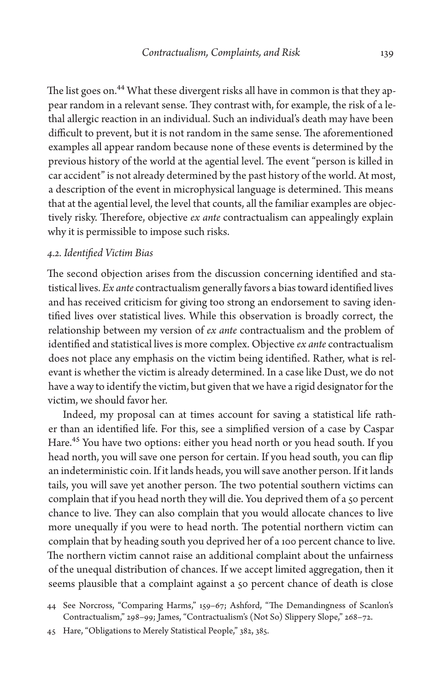The list goes on.<sup>44</sup> What these divergent risks all have in common is that they appear random in a relevant sense. They contrast with, for example, the risk of a lethal allergic reaction in an individual. Such an individual's death may have been difficult to prevent, but it is not random in the same sense. The aforementioned examples all appear random because none of these events is determined by the previous history of the world at the agential level. The event "person is killed in car accident" is not already determined by the past history of the world. At most, a description of the event in microphysical language is determined. This means that at the agential level, the level that counts, all the familiar examples are objectively risky. Therefore, objective *ex ante* contractualism can appealingly explain why it is permissible to impose such risks.

## *4.2. Identified Victim Bias*

The second objection arises from the discussion concerning identified and statistical lives. *Ex ante* contractualism generally favors a bias toward identified lives and has received criticism for giving too strong an endorsement to saving identified lives over statistical lives. While this observation is broadly correct, the relationship between my version of *ex ante* contractualism and the problem of identified and statistical lives is more complex. Objective *ex ante* contractualism does not place any emphasis on the victim being identified. Rather, what is relevant is whether the victim is already determined. In a case like Dust, we do not have a way to identify the victim, but given that we have a rigid designator for the victim, we should favor her.

Indeed, my proposal can at times account for saving a statistical life rather than an identified life. For this, see a simplified version of a case by Caspar Hare.45 You have two options: either you head north or you head south. If you head north, you will save one person for certain. If you head south, you can flip an indeterministic coin. If it lands heads, you will save another person. If it lands tails, you will save yet another person. The two potential southern victims can complain that if you head north they will die. You deprived them of a 50 percent chance to live. They can also complain that you would allocate chances to live more unequally if you were to head north. The potential northern victim can complain that by heading south you deprived her of a 100 percent chance to live. The northern victim cannot raise an additional complaint about the unfairness of the unequal distribution of chances. If we accept limited aggregation, then it seems plausible that a complaint against a 50 percent chance of death is close

45 Hare, "Obligations to Merely Statistical People," 382, 385.

<sup>44</sup> See Norcross, "Comparing Harms," 159–67; Ashford, "The Demandingness of Scanlon's Contractualism," 298–99; James, "Contractualism's (Not So) Slippery Slope," 268–72.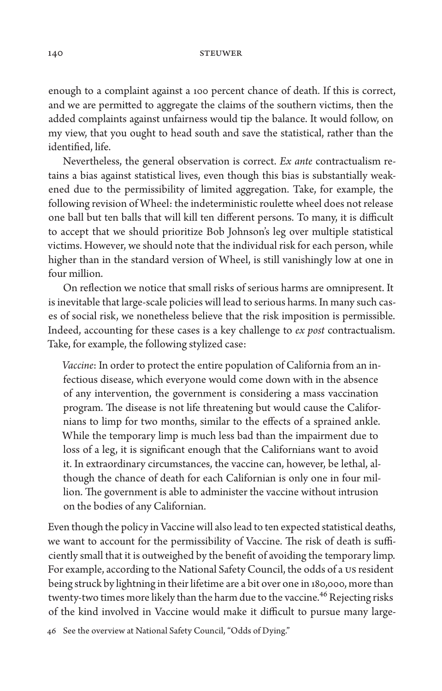enough to a complaint against a 100 percent chance of death. If this is correct, and we are permitted to aggregate the claims of the southern victims, then the added complaints against unfairness would tip the balance. It would follow, on my view, that you ought to head south and save the statistical, rather than the identified, life.

Nevertheless, the general observation is correct. *Ex ante* contractualism retains a bias against statistical lives, even though this bias is substantially weakened due to the permissibility of limited aggregation. Take, for example, the following revision of Wheel: the indeterministic roulette wheel does not release one ball but ten balls that will kill ten different persons. To many, it is difficult to accept that we should prioritize Bob Johnson's leg over multiple statistical victims. However, we should note that the individual risk for each person, while higher than in the standard version of Wheel, is still vanishingly low at one in four million.

On reflection we notice that small risks of serious harms are omnipresent. It is inevitable that large-scale policies will lead to serious harms. In many such cases of social risk, we nonetheless believe that the risk imposition is permissible. Indeed, accounting for these cases is a key challenge to *ex post* contractualism. Take, for example, the following stylized case:

*Vaccine*: In order to protect the entire population of California from an infectious disease, which everyone would come down with in the absence of any intervention, the government is considering a mass vaccination program. The disease is not life threatening but would cause the Californians to limp for two months, similar to the effects of a sprained ankle. While the temporary limp is much less bad than the impairment due to loss of a leg, it is significant enough that the Californians want to avoid it. In extraordinary circumstances, the vaccine can, however, be lethal, although the chance of death for each Californian is only one in four million. The government is able to administer the vaccine without intrusion on the bodies of any Californian.

Even though the policy in Vaccine will also lead to ten expected statistical deaths, we want to account for the permissibility of Vaccine. The risk of death is sufficiently small that it is outweighed by the benefit of avoiding the temporary limp. For example, according to the National Safety Council, the odds of a US resident being struck by lightning in their lifetime are a bit over one in 180,000, more than twenty-two times more likely than the harm due to the vaccine.<sup>46</sup> Rejecting risks of the kind involved in Vaccine would make it difficult to pursue many large-

46 See the overview at National Safety Council, "Odds of Dying."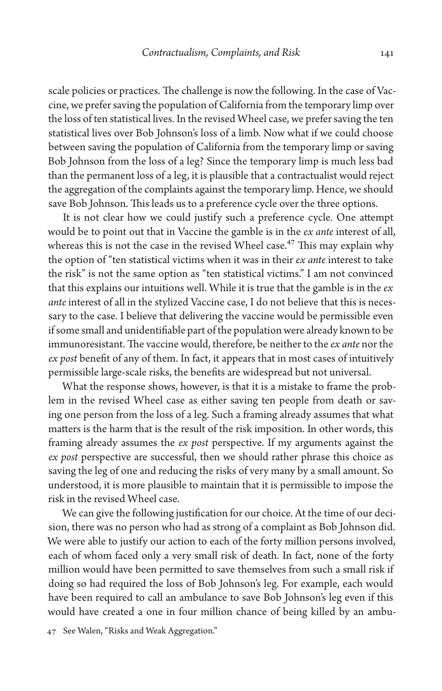scale policies or practices. The challenge is now the following. In the case of Vaccine, we prefer saving the population of California from the temporary limp over the loss of ten statistical lives. In the revised Wheel case, we prefer saving the ten statistical lives over Bob Johnson's loss of a limb. Now what if we could choose between saving the population of California from the temporary limp or saving Bob Johnson from the loss of a leg? Since the temporary limp is much less bad than the permanent loss of a leg, it is plausible that a contractualist would reject the aggregation of the complaints against the temporary limp. Hence, we should save Bob Johnson. This leads us to a preference cycle over the three options.

It is not clear how we could justify such a preference cycle. One attempt would be to point out that in Vaccine the gamble is in the *ex ante* interest of all, whereas this is not the case in the revised Wheel case.<sup>47</sup> This may explain why the option of "ten statistical victims when it was in their *ex ante* interest to take the risk" is not the same option as "ten statistical victims." I am not convinced that this explains our intuitions well. While it is true that the gamble is in the *ex ante* interest of all in the stylized Vaccine case, I do not believe that this is necessary to the case. I believe that delivering the vaccine would be permissible even if some small and unidentifiable part of the population were already known to be immunoresistant. The vaccine would, therefore, be neither to the *ex ante* nor the *ex post* benefit of any of them. In fact, it appears that in most cases of intuitively permissible large-scale risks, the benefits are widespread but not universal.

What the response shows, however, is that it is a mistake to frame the problem in the revised Wheel case as either saving ten people from death or saving one person from the loss of a leg. Such a framing already assumes that what matters is the harm that is the result of the risk imposition. In other words, this framing already assumes the *ex post* perspective. If my arguments against the *ex post* perspective are successful, then we should rather phrase this choice as saving the leg of one and reducing the risks of very many by a small amount. So understood, it is more plausible to maintain that it is permissible to impose the risk in the revised Wheel case.

We can give the following justification for our choice. At the time of our decision, there was no person who had as strong of a complaint as Bob Johnson did. We were able to justify our action to each of the forty million persons involved, each of whom faced only a very small risk of death. In fact, none of the forty million would have been permitted to save themselves from such a small risk if doing so had required the loss of Bob Johnson's leg. For example, each would have been required to call an ambulance to save Bob Johnson's leg even if this would have created a one in four million chance of being killed by an ambu-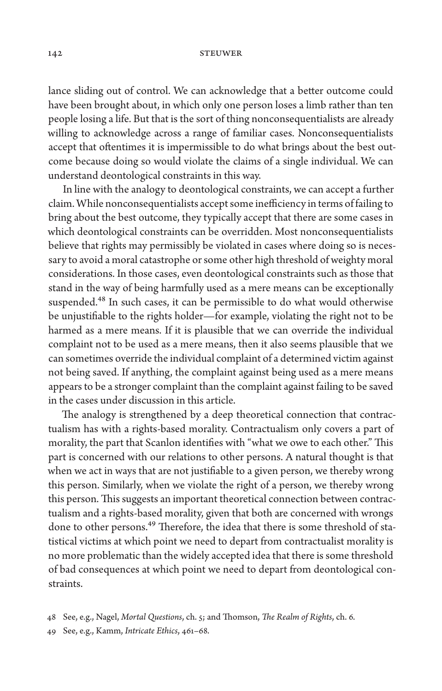lance sliding out of control. We can acknowledge that a better outcome could have been brought about, in which only one person loses a limb rather than ten people losing a life. But that is the sort of thing nonconsequentialists are already willing to acknowledge across a range of familiar cases. Nonconsequentialists accept that oftentimes it is impermissible to do what brings about the best outcome because doing so would violate the claims of a single individual. We can understand deontological constraints in this way.

In line with the analogy to deontological constraints, we can accept a further claim. While nonconsequentialists accept some inefficiency in terms of failing to bring about the best outcome, they typically accept that there are some cases in which deontological constraints can be overridden. Most nonconsequentialists believe that rights may permissibly be violated in cases where doing so is necessary to avoid a moral catastrophe or some other high threshold of weighty moral considerations. In those cases, even deontological constraints such as those that stand in the way of being harmfully used as a mere means can be exceptionally suspended.<sup>48</sup> In such cases, it can be permissible to do what would otherwise be unjustifiable to the rights holder—for example, violating the right not to be harmed as a mere means. If it is plausible that we can override the individual complaint not to be used as a mere means, then it also seems plausible that we can sometimes override the individual complaint of a determined victim against not being saved. If anything, the complaint against being used as a mere means appears to be a stronger complaint than the complaint against failing to be saved in the cases under discussion in this article.

The analogy is strengthened by a deep theoretical connection that contractualism has with a rights-based morality. Contractualism only covers a part of morality, the part that Scanlon identifies with "what we owe to each other." This part is concerned with our relations to other persons. A natural thought is that when we act in ways that are not justifiable to a given person, we thereby wrong this person. Similarly, when we violate the right of a person, we thereby wrong this person. This suggests an important theoretical connection between contractualism and a rights-based morality, given that both are concerned with wrongs done to other persons.<sup>49</sup> Therefore, the idea that there is some threshold of statistical victims at which point we need to depart from contractualist morality is no more problematic than the widely accepted idea that there is some threshold of bad consequences at which point we need to depart from deontological constraints.

<sup>48</sup> See, e.g., Nagel, *Mortal Questions*, ch. 5; and Thomson, *The Realm of Rights*, ch. 6.

<sup>49</sup> See, e.g., Kamm, *Intricate Ethics*, 461–68.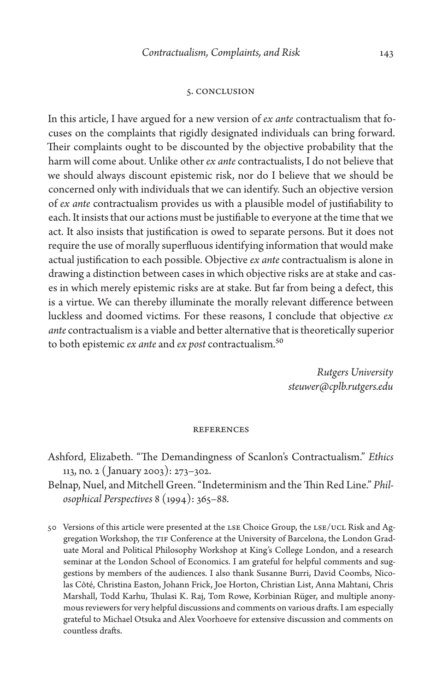#### 5. Conclusion

In this article, I have argued for a new version of *ex ante* contractualism that focuses on the complaints that rigidly designated individuals can bring forward. Their complaints ought to be discounted by the objective probability that the harm will come about. Unlike other *ex ante* contractualists, I do not believe that we should always discount epistemic risk, nor do I believe that we should be concerned only with individuals that we can identify. Such an objective version of *ex ante* contractualism provides us with a plausible model of justifiability to each. It insists that our actions must be justifiable to everyone at the time that we act. It also insists that justification is owed to separate persons. But it does not require the use of morally superfluous identifying information that would make actual justification to each possible. Objective *ex ante* contractualism is alone in drawing a distinction between cases in which objective risks are at stake and cases in which merely epistemic risks are at stake. But far from being a defect, this is a virtue. We can thereby illuminate the morally relevant difference between luckless and doomed victims. For these reasons, I conclude that objective *ex ante* contractualism is a viable and better alternative that is theoretically superior to both epistemic *ex ante* and *ex post* contractualism.50

> *Rutgers University [steuwer@cplb.rutgers.edu](mailto:steuwer@cplb.rutgers.edu)*

#### **REFERENCES**

- Ashford, Elizabeth. "The Demandingness of Scanlon's Contractualism." *Ethics* 113, no. 2 ( January 2003): 273–302.
- Belnap, Nuel, and Mitchell Green. "Indeterminism and the Thin Red Line." *Philosophical Perspectives* 8 (1994): 365–88.
- 50 Versions of this article were presented at the LSE Choice Group, the LSE/UCL Risk and Aggregation Workshop, the TIF Conference at the University of Barcelona, the London Graduate Moral and Political Philosophy Workshop at King's College London, and a research seminar at the London School of Economics. I am grateful for helpful comments and suggestions by members of the audiences. I also thank Susanne Burri, David Coombs, Nicolas Côté, Christina Easton, Johann Frick, Joe Horton, Christian List, Anna Mahtani, Chris Marshall, Todd Karhu, Thulasi K. Raj, Tom Rowe, Korbinian Rüger, and multiple anonymous reviewers for very helpful discussions and comments on various drafts. I am especially grateful to Michael Otsuka and Alex Voorhoeve for extensive discussion and comments on countless drafts.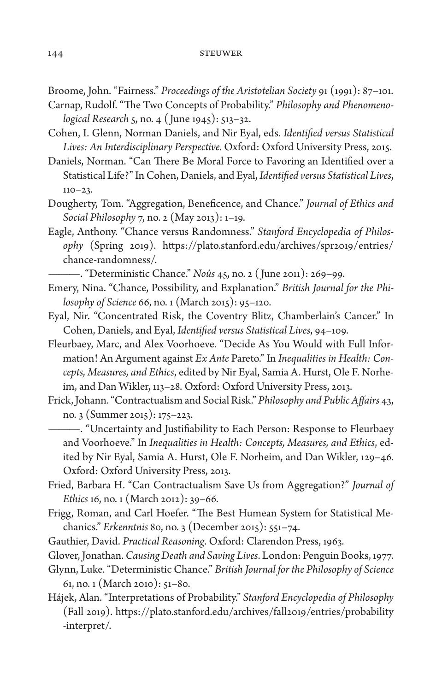Broome, John. "Fairness." *Proceedings of the Aristotelian Society* 91 (1991): 87–101.

- Carnap, Rudolf. "The Two Concepts of Probability." *Philosophy and Phenomenological Research* 5, no. 4 ( June 1945): 513–32.
- Cohen, I. Glenn, Norman Daniels, and Nir Eyal, eds. *Identified versus Statistical Lives: An Interdisciplinary Perspective.* Oxford: Oxford University Press, 2015.
- Daniels, Norman. "Can There Be Moral Force to Favoring an Identified over a Statistical Life?" In Cohen, Daniels, and Eyal, *Identified versus Statistical Lives*,  $110 - 23$ .
- Dougherty, Tom. "Aggregation, Beneficence, and Chance." *Journal of Ethics and Social Philosophy* 7, no. 2 (May 2013): 1–19.
- Eagle, Anthony. "Chance versus Randomness." *Stanford Encyclopedia of Philosophy* (Spring 2019). [https://plato.stanford.edu/archives/spr2019/entries/](https://plato.stanford.edu/archives/spr2019/entries/chance-randomness/) [chance-randomness/.](https://plato.stanford.edu/archives/spr2019/entries/chance-randomness/)

———. "Deterministic Chance." *Noûs* 45, no. 2 ( June 2011): 269–99.

- Emery, Nina. "Chance, Possibility, and Explanation." *British Journal for the Philosophy of Science* 66, no. 1 (March 2015): 95–120.
- Eyal, Nir. "Concentrated Risk, the Coventry Blitz, Chamberlain's Cancer." In Cohen, Daniels, and Eyal, *Identified versus Statistical Lives*, 94–109.
- Fleurbaey, Marc, and Alex Voorhoeve. "Decide As You Would with Full Information! An Argument against *Ex Ante* Pareto." In *Inequalities in Health: Concepts, Measures, and Ethics*, edited by Nir Eyal, Samia A. Hurst, Ole F. Norheim, and Dan Wikler, 113–28. Oxford: Oxford University Press, 2013.
- Frick, Johann. "Contractualism and Social Risk." *Philosophy and Public Affairs* 43, no. 3 (Summer 2015): 175–223.

———. "Uncertainty and Justifiability to Each Person: Response to Fleurbaey and Voorhoeve." In *Inequalities in Health: Concepts, Measures, and Ethics*, edited by Nir Eyal, Samia A. Hurst, Ole F. Norheim, and Dan Wikler, 129–46. Oxford: Oxford University Press, 2013.

- Fried, Barbara H. "Can Contractualism Save Us from Aggregation?" *Journal of Ethics* 16, no. 1 (March 2012): 39–66.
- Frigg, Roman, and Carl Hoefer. "The Best Humean System for Statistical Mechanics." *Erkenntnis* 80, no. 3 (December 2015): 551–74.
- Gauthier, David. *Practical Reasoning*. Oxford: Clarendon Press, 1963.
- Glover, Jonathan. *Causing Death and Saving Lives*. London: Penguin Books, 1977.
- Glynn, Luke. "Deterministic Chance." *British Journal for the Philosophy of Science* 61, no. 1 (March 2010): 51–80.
- Hájek, Alan. "Interpretations of Probability." *Stanford Encyclopedia of Philosophy* (Fall 2019). [https://plato.stanford.edu/archives/fall2019/entries/probability](https://plato.stanford.edu/archives/fall2019/entries/probability-interpret/) [-interpret/](https://plato.stanford.edu/archives/fall2019/entries/probability-interpret/).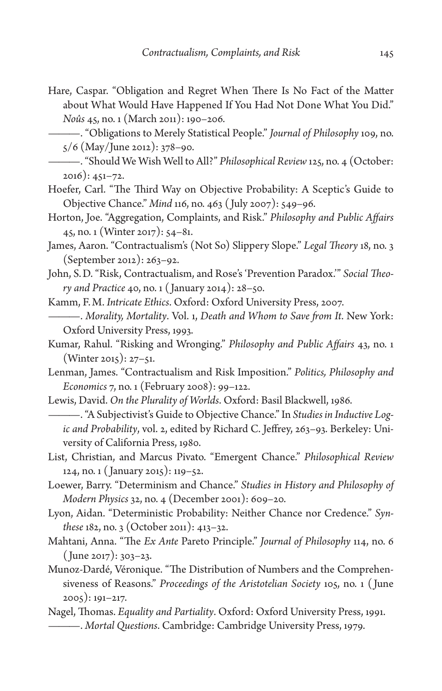Hare, Caspar. "Obligation and Regret When There Is No Fact of the Matter about What Would Have Happened If You Had Not Done What You Did." *Noûs* 45, no. 1 (March 2011): 190–206.

———. "Obligations to Merely Statistical People." *Journal of Philosophy* 109, no. 5/6 (May/June 2012): 378–90.

- ———. "Should We Wish Well to All?" *Philosophical Review* 125, no. 4 (October: 2016): 451–72.
- Hoefer, Carl. "The Third Way on Objective Probability: A Sceptic's Guide to Objective Chance." *Mind* 116, no. 463 ( July 2007): 549–96.
- Horton, Joe. "Aggregation, Complaints, and Risk." *Philosophy and Public Affairs* 45, no. 1 (Winter 2017): 54–81.
- James, Aaron. "Contractualism's (Not So) Slippery Slope." *Legal Theory* 18, no. 3 (September 2012): 263–92.
- John, S.D. "Risk, Contractualism, and Rose's 'Prevention Paradox.'" *Social Theory and Practice* 40, no. 1 ( January 2014): 28–50.
- Kamm, F.M. *Intricate Ethics*. Oxford: Oxford University Press, 2007.
- ———. *Morality, Mortality*. Vol. 1, *Death and Whom to Save from It*. New York: Oxford University Press, 1993.
- Kumar, Rahul. "Risking and Wronging." *Philosophy and Public Affairs* 43, no. 1 (Winter 2015): 27–51.

Lenman, James. "Contractualism and Risk Imposition." *Politics, Philosophy and Economics* 7, no. 1 (February 2008): 99–122.

Lewis, David. *On the Plurality of Worlds*. Oxford: Basil Blackwell, 1986.

———. "A Subjectivist's Guide to Objective Chance." In *Studies in Inductive Logic and Probability*, vol. 2, edited by Richard C. Jeffrey, 263–93. Berkeley: University of California Press, 1980.

- List, Christian, and Marcus Pivato. "Emergent Chance." *Philosophical Review* 124, no. 1 ( January 2015): 119–52.
- Loewer, Barry. "Determinism and Chance." *Studies in History and Philosophy of Modern Physics* 32, no. 4 (December 2001): 609–20.
- Lyon, Aidan. "Deterministic Probability: Neither Chance nor Credence." *Synthese* 182, no. 3 (October 2011): 413–32.
- Mahtani, Anna. "The *Ex Ante* Pareto Principle." *Journal of Philosophy* 114, no. 6 ( June 2017): 303–23.
- Munoz-Dardé, Véronique. "The Distribution of Numbers and the Comprehensiveness of Reasons." *Proceedings of the Aristotelian Society* 105, no. 1 ( June 2005): 191–217.
- Nagel, Thomas. *Equality and Partiality*. Oxford: Oxford University Press, 1991. ———. *Mortal Questions*. Cambridge: Cambridge University Press, 1979.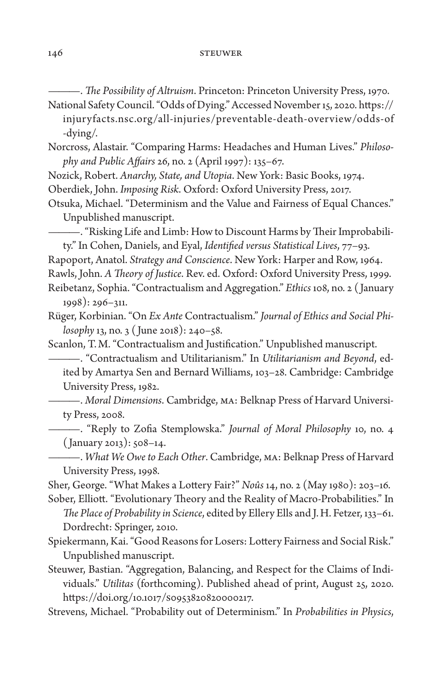———. *The Possibility of Altruism*. Princeton: Princeton University Press, 1970.

National Safety Council. "Odds of Dying." Accessed November 15, 2020. [https://](https://injuryfacts.nsc.org/all-injuries/preventable-death-overview/odds-of-dying/) [injuryfacts.nsc.org/all-injuries/preventable-death-overview/odds-of](https://injuryfacts.nsc.org/all-injuries/preventable-death-overview/odds-of-dying/) [-dying/](https://injuryfacts.nsc.org/all-injuries/preventable-death-overview/odds-of-dying/).

Norcross, Alastair. "Comparing Harms: Headaches and Human Lives." *Philosophy and Public Affairs* 26, no. 2 (April 1997): 135–67.

Nozick, Robert. *Anarchy, State, and Utopia*. New York: Basic Books, 1974.

Oberdiek, John. *Imposing Risk*. Oxford: Oxford University Press, 2017.

Otsuka, Michael. "Determinism and the Value and Fairness of Equal Chances." Unpublished manuscript.

———. "Risking Life and Limb: How to Discount Harms by Their Improbabili-

ty." In Cohen, Daniels, and Eyal, *Identified versus Statistical Lives*, 77–93. Rapoport, Anatol. *Strategy and Conscience*. New York: Harper and Row, 1964.

Rawls, John. *A Theory of Justice*. Rev. ed. Oxford: Oxford University Press, 1999.

Reibetanz, Sophia. "Contractualism and Aggregation." *Ethics* 108, no. 2 ( January 1998): 296–311.

Rüger, Korbinian. "On *Ex Ante* Contractualism." *Journal of Ethics and Social Philosophy* 13, no. 3 ( June 2018): 240–58.

Scanlon, T.M. "Contractualism and Justification." Unpublished manuscript.

———. "Contractualism and Utilitarianism." In *Utilitarianism and Beyond*, edited by Amartya Sen and Bernard Williams, 103–28. Cambridge: Cambridge University Press, 1982.

———. *Moral Dimensions*. Cambridge, MA: Belknap Press of Harvard University Press, 2008.

———. "Reply to Zofia Stemplowska." *Journal of Moral Philosophy* 10, no. 4 ( January 2013): 508–14.

———. *What We Owe to Each Other*. Cambridge, MA: Belknap Press of Harvard University Press, 1998.

Sher, George. "What Makes a Lottery Fair?" *Noûs* 14, no. 2 (May 1980): 203–16. Sober, Elliott. "Evolutionary Theory and the Reality of Macro-Probabilities." In

*The Place of Probability in Science*, edited by Ellery Ells and J.H. Fetzer, 133–61. Dordrecht: Springer, 2010.

Spiekermann, Kai. "Good Reasons for Losers: Lottery Fairness and Social Risk." Unpublished manuscript.

Steuwer, Bastian. "Aggregation, Balancing, and Respect for the Claims of Individuals." *Utilitas* (forthcoming). Published ahead of print, August 25, 2020. <https://doi.org/10.1017/S0953820820000217>.

Strevens, Michael. "Probability out of Determinism." In *Probabilities in Physics*,